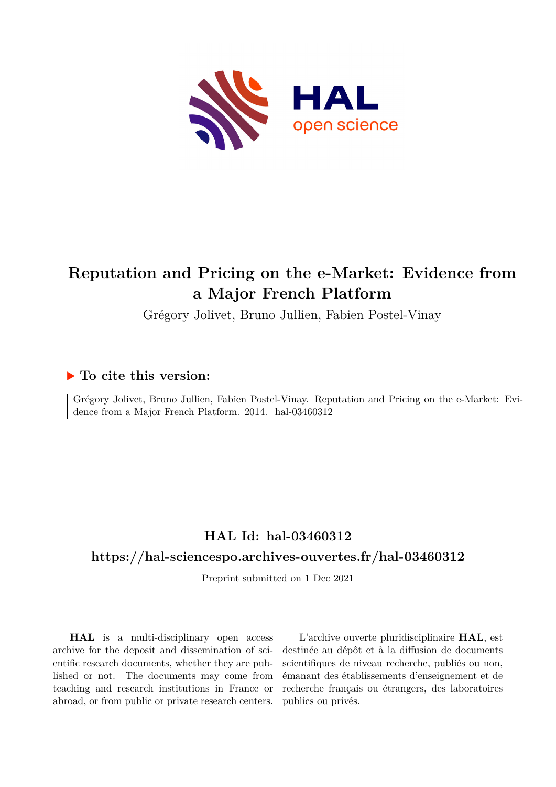

# **Reputation and Pricing on the e-Market: Evidence from a Major French Platform**

Grégory Jolivet, Bruno Jullien, Fabien Postel-Vinay

# **To cite this version:**

Grégory Jolivet, Bruno Jullien, Fabien Postel-Vinay. Reputation and Pricing on the e-Market: Evidence from a Major French Platform. 2014. hal-03460312

# **HAL Id: hal-03460312**

# **<https://hal-sciencespo.archives-ouvertes.fr/hal-03460312>**

Preprint submitted on 1 Dec 2021

**HAL** is a multi-disciplinary open access archive for the deposit and dissemination of scientific research documents, whether they are published or not. The documents may come from teaching and research institutions in France or abroad, or from public or private research centers.

L'archive ouverte pluridisciplinaire **HAL**, est destinée au dépôt et à la diffusion de documents scientifiques de niveau recherche, publiés ou non, émanant des établissements d'enseignement et de recherche français ou étrangers, des laboratoires publics ou privés.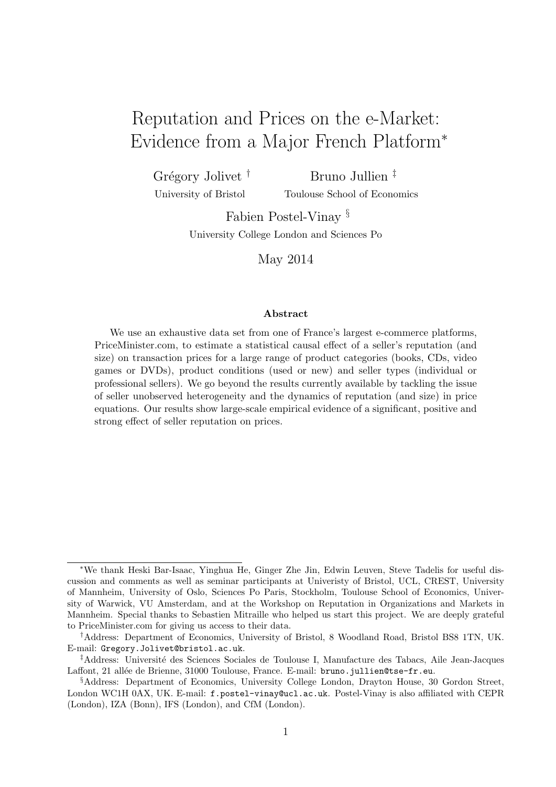# Reputation and Prices on the e-Market: Evidence from a Major French Platform<sup>∗</sup>

Grégory Jolivet<sup>†</sup> University of Bristol Bruno Jullien ‡ Toulouse School of Economics

> Fabien Postel-Vinay § University College London and Sciences Po

> > May 2014

#### Abstract

We use an exhaustive data set from one of France's largest e-commerce platforms, PriceMinister.com, to estimate a statistical causal effect of a seller's reputation (and size) on transaction prices for a large range of product categories (books, CDs, video games or DVDs), product conditions (used or new) and seller types (individual or professional sellers). We go beyond the results currently available by tackling the issue of seller unobserved heterogeneity and the dynamics of reputation (and size) in price equations. Our results show large-scale empirical evidence of a significant, positive and strong effect of seller reputation on prices.

<sup>∗</sup>We thank Heski Bar-Isaac, Yinghua He, Ginger Zhe Jin, Edwin Leuven, Steve Tadelis for useful discussion and comments as well as seminar participants at Univeristy of Bristol, UCL, CREST, University of Mannheim, University of Oslo, Sciences Po Paris, Stockholm, Toulouse School of Economics, University of Warwick, VU Amsterdam, and at the Workshop on Reputation in Organizations and Markets in Mannheim. Special thanks to Sebastien Mitraille who helped us start this project. We are deeply grateful to [PriceMinister.com](http://www.priceminister.com/) for giving us access to their data.

<sup>†</sup>Address: Department of Economics, University of Bristol, 8 Woodland Road, Bristol BS8 1TN, UK. E-mail: Gregory.Jolivet@bristol.ac.uk.

<sup>&</sup>lt;sup>‡</sup>Address: Université des Sciences Sociales de Toulouse I, Manufacture des Tabacs, Aile Jean-Jacques Laffont, 21 allée de Brienne, 31000 Toulouse, France. E-mail: bruno.jullien@tse-fr.eu.

<sup>§</sup>Address: Department of Economics, University College London, Drayton House, 30 Gordon Street, London WC1H 0AX, UK. E-mail: f.postel-vinay@ucl.ac.uk. Postel-Vinay is also affiliated with CEPR (London), IZA (Bonn), IFS (London), and CfM (London).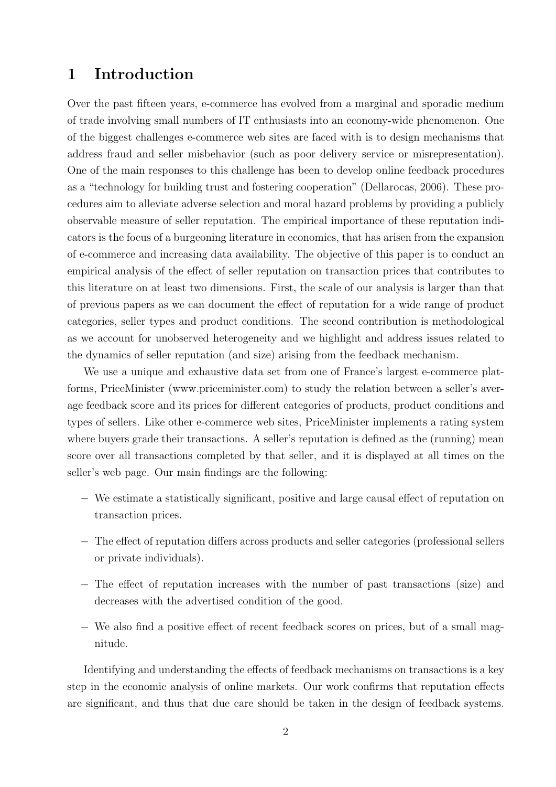# 1 Introduction

Over the past fifteen years, e-commerce has evolved from a marginal and sporadic medium of trade involving small numbers of IT enthusiasts into an economy-wide phenomenon. One of the biggest challenges e-commerce web sites are faced with is to design mechanisms that address fraud and seller misbehavior (such as poor delivery service or misrepresentation). One of the main responses to this challenge has been to develop online feedback procedures as a "technology for building trust and fostering cooperation" (Dellarocas, 2006). These procedures aim to alleviate adverse selection and moral hazard problems by providing a publicly observable measure of seller reputation. The empirical importance of these reputation indicators is the focus of a burgeoning literature in economics, that has arisen from the expansion of e-commerce and increasing data availability. The objective of this paper is to conduct an empirical analysis of the effect of seller reputation on transaction prices that contributes to this literature on at least two dimensions. First, the scale of our analysis is larger than that of previous papers as we can document the effect of reputation for a wide range of product categories, seller types and product conditions. The second contribution is methodological as we account for unobserved heterogeneity and we highlight and address issues related to the dynamics of seller reputation (and size) arising from the feedback mechanism.

We use a unique and exhaustive data set from one of France's largest e-commerce platforms, PriceMinister (www.priceminister.com) to study the relation between a seller's average feedback score and its prices for different categories of products, product conditions and types of sellers. Like other e-commerce web sites, PriceMinister implements a rating system where buyers grade their transactions. A seller's reputation is defined as the (running) mean score over all transactions completed by that seller, and it is displayed at all times on the seller's web page. Our main findings are the following:

- − We estimate a statistically significant, positive and large causal effect of reputation on transaction prices.
- − The effect of reputation differs across products and seller categories (professional sellers or private individuals).
- − The effect of reputation increases with the number of past transactions (size) and decreases with the advertised condition of the good.
- − We also find a positive effect of recent feedback scores on prices, but of a small magnitude.

Identifying and understanding the effects of feedback mechanisms on transactions is a key step in the economic analysis of online markets. Our work confirms that reputation effects are significant, and thus that due care should be taken in the design of feedback systems.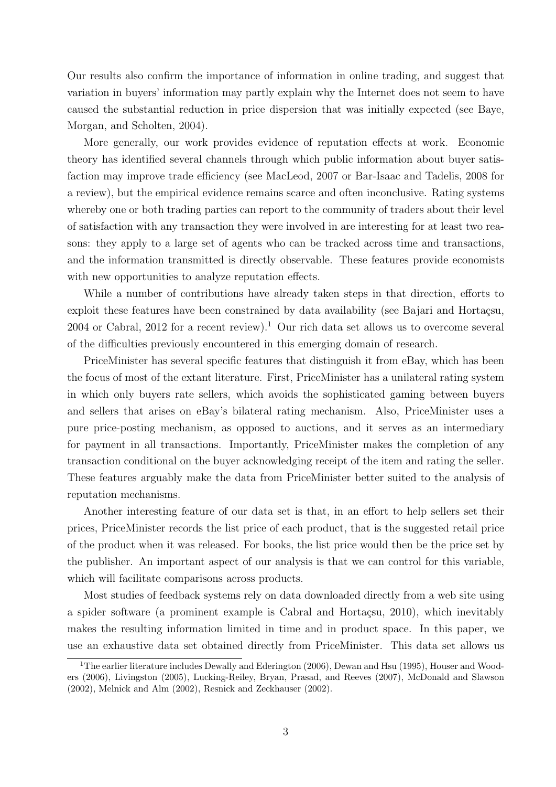Our results also confirm the importance of information in online trading, and suggest that variation in buyers' information may partly explain why the Internet does not seem to have caused the substantial reduction in price dispersion that was initially expected (see Baye, Morgan, and Scholten, 2004).

More generally, our work provides evidence of reputation effects at work. Economic theory has identified several channels through which public information about buyer satisfaction may improve trade efficiency (see MacLeod, 2007 or Bar-Isaac and Tadelis, 2008 for a review), but the empirical evidence remains scarce and often inconclusive. Rating systems whereby one or both trading parties can report to the community of traders about their level of satisfaction with any transaction they were involved in are interesting for at least two reasons: they apply to a large set of agents who can be tracked across time and transactions, and the information transmitted is directly observable. These features provide economists with new opportunities to analyze reputation effects.

While a number of contributions have already taken steps in that direction, efforts to exploit these features have been constrained by data availability (see Bajari and Hortaçsu,  $2004$  or Cabral,  $2012$  for a recent review).<sup>1</sup> Our rich data set allows us to overcome several of the difficulties previously encountered in this emerging domain of research.

PriceMinister has several specific features that distinguish it from eBay, which has been the focus of most of the extant literature. First, PriceMinister has a unilateral rating system in which only buyers rate sellers, which avoids the sophisticated gaming between buyers and sellers that arises on eBay's bilateral rating mechanism. Also, PriceMinister uses a pure price-posting mechanism, as opposed to auctions, and it serves as an intermediary for payment in all transactions. Importantly, PriceMinister makes the completion of any transaction conditional on the buyer acknowledging receipt of the item and rating the seller. These features arguably make the data from PriceMinister better suited to the analysis of reputation mechanisms.

Another interesting feature of our data set is that, in an effort to help sellers set their prices, PriceMinister records the list price of each product, that is the suggested retail price of the product when it was released. For books, the list price would then be the price set by the publisher. An important aspect of our analysis is that we can control for this variable, which will facilitate comparisons across products.

Most studies of feedback systems rely on data downloaded directly from a web site using a spider software (a prominent example is Cabral and Hortaçsu, 2010), which inevitably makes the resulting information limited in time and in product space. In this paper, we use an exhaustive data set obtained directly from PriceMinister. This data set allows us

<sup>&</sup>lt;sup>1</sup>The earlier literature includes Dewally and Ederington (2006), Dewan and Hsu (1995), Houser and Wooders (2006), Livingston (2005), Lucking-Reiley, Bryan, Prasad, and Reeves (2007), McDonald and Slawson (2002), Melnick and Alm (2002), Resnick and Zeckhauser (2002).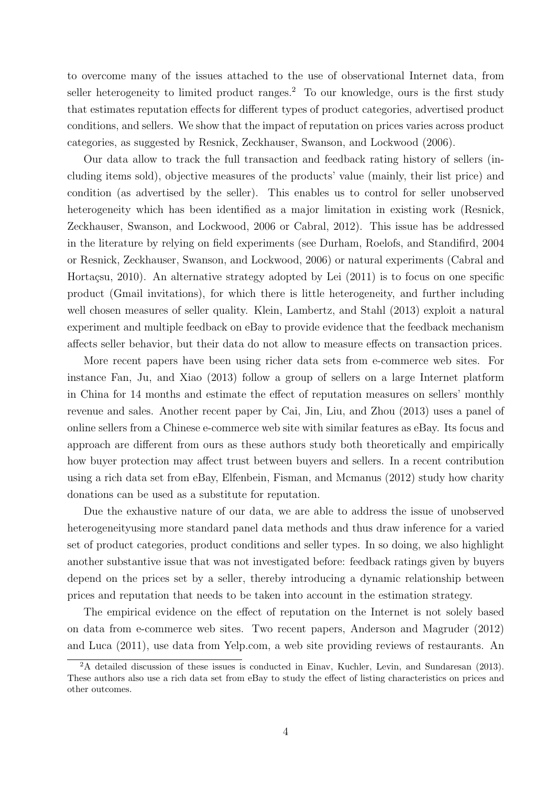to overcome many of the issues attached to the use of observational Internet data, from seller heterogeneity to limited product ranges.<sup>2</sup> To our knowledge, ours is the first study that estimates reputation effects for different types of product categories, advertised product conditions, and sellers. We show that the impact of reputation on prices varies across product categories, as suggested by Resnick, Zeckhauser, Swanson, and Lockwood (2006).

Our data allow to track the full transaction and feedback rating history of sellers (including items sold), objective measures of the products' value (mainly, their list price) and condition (as advertised by the seller). This enables us to control for seller unobserved heterogeneity which has been identified as a major limitation in existing work (Resnick, Zeckhauser, Swanson, and Lockwood, 2006 or Cabral, 2012). This issue has be addressed in the literature by relying on field experiments (see Durham, Roelofs, and Standifird, 2004 or Resnick, Zeckhauser, Swanson, and Lockwood, 2006) or natural experiments (Cabral and Hortaçsu, 2010). An alternative strategy adopted by Lei  $(2011)$  is to focus on one specific product (Gmail invitations), for which there is little heterogeneity, and further including well chosen measures of seller quality. Klein, Lambertz, and Stahl (2013) exploit a natural experiment and multiple feedback on eBay to provide evidence that the feedback mechanism affects seller behavior, but their data do not allow to measure effects on transaction prices.

More recent papers have been using richer data sets from e-commerce web sites. For instance Fan, Ju, and Xiao (2013) follow a group of sellers on a large Internet platform in China for 14 months and estimate the effect of reputation measures on sellers' monthly revenue and sales. Another recent paper by Cai, Jin, Liu, and Zhou (2013) uses a panel of online sellers from a Chinese e-commerce web site with similar features as eBay. Its focus and approach are different from ours as these authors study both theoretically and empirically how buyer protection may affect trust between buyers and sellers. In a recent contribution using a rich data set from eBay, Elfenbein, Fisman, and Mcmanus (2012) study how charity donations can be used as a substitute for reputation.

Due the exhaustive nature of our data, we are able to address the issue of unobserved heterogeneityusing more standard panel data methods and thus draw inference for a varied set of product categories, product conditions and seller types. In so doing, we also highlight another substantive issue that was not investigated before: feedback ratings given by buyers depend on the prices set by a seller, thereby introducing a dynamic relationship between prices and reputation that needs to be taken into account in the estimation strategy.

The empirical evidence on the effect of reputation on the Internet is not solely based on data from e-commerce web sites. Two recent papers, Anderson and Magruder (2012) and Luca (2011), use data from Yelp.com, a web site providing reviews of restaurants. An

<sup>&</sup>lt;sup>2</sup>A detailed discussion of these issues is conducted in Einav, Kuchler, Levin, and Sundaresan (2013). These authors also use a rich data set from eBay to study the effect of listing characteristics on prices and other outcomes.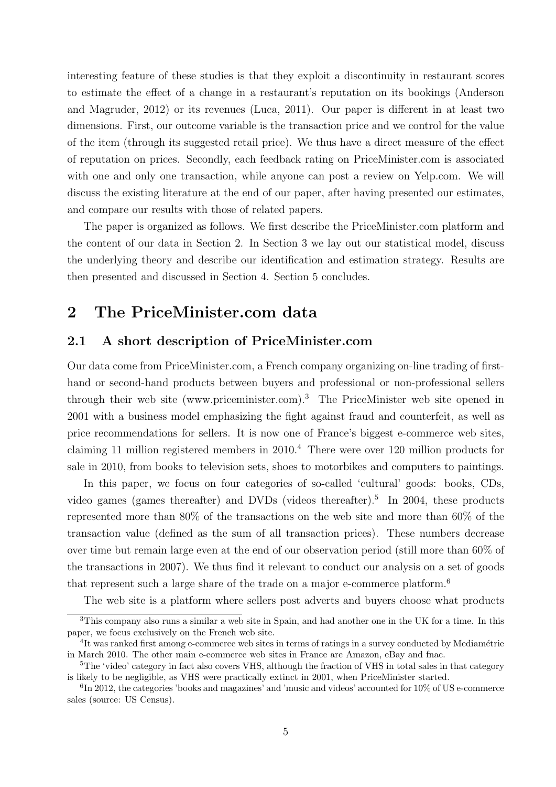interesting feature of these studies is that they exploit a discontinuity in restaurant scores to estimate the effect of a change in a restaurant's reputation on its bookings (Anderson and Magruder, 2012) or its revenues (Luca, 2011). Our paper is different in at least two dimensions. First, our outcome variable is the transaction price and we control for the value of the item (through its suggested retail price). We thus have a direct measure of the effect of reputation on prices. Secondly, each feedback rating on PriceMinister.com is associated with one and only one transaction, while anyone can post a review on Yelp.com. We will discuss the existing literature at the end of our paper, after having presented our estimates, and compare our results with those of related papers.

The paper is organized as follows. We first describe the PriceMinister.com platform and the content of our data in Section 2. In Section 3 we lay out our statistical model, discuss the underlying theory and describe our identification and estimation strategy. Results are then presented and discussed in Section 4. Section 5 concludes.

# 2 The PriceMinister.com data

### 2.1 A short description of PriceMinister.com

Our data come from PriceMinister.com, a French company organizing on-line trading of firsthand or second-hand products between buyers and professional or non-professional sellers through their web site (www.priceminister.com).3 The PriceMinister web site opened in 2001 with a business model emphasizing the fight against fraud and counterfeit, as well as price recommendations for sellers. It is now one of France's biggest e-commerce web sites, claiming 11 million registered members in 2010.4 There were over 120 million products for sale in 2010, from books to television sets, shoes to motorbikes and computers to paintings.

In this paper, we focus on four categories of so-called 'cultural' goods: books, CDs, video games (games thereafter) and DVDs (videos thereafter).<sup>5</sup> In 2004, these products represented more than 80% of the transactions on the web site and more than 60% of the transaction value (defined as the sum of all transaction prices). These numbers decrease over time but remain large even at the end of our observation period (still more than 60% of the transactions in 2007). We thus find it relevant to conduct our analysis on a set of goods that represent such a large share of the trade on a major e-commerce platform.6

The web site is a platform where sellers post adverts and buyers choose what products

<sup>3</sup>This company also runs a similar a web site in Spain, and had another one in the UK for a time. In this paper, we focus exclusively on the French web site.

<sup>&</sup>lt;sup>4</sup>It was ranked first among e-commerce web sites in terms of ratings in a survey conducted by Mediamétrie in March 2010. The other main e-commerce web sites in France are Amazon, eBay and fnac.

<sup>&</sup>lt;sup>5</sup>The 'video' category in fact also covers VHS, although the fraction of VHS in total sales in that category is likely to be negligible, as VHS were practically extinct in 2001, when PriceMinister started.

 ${}^{6}$ In 2012, the categories 'books and magazines' and 'music and videos' accounted for 10% of US e-commerce sales (source: US Census).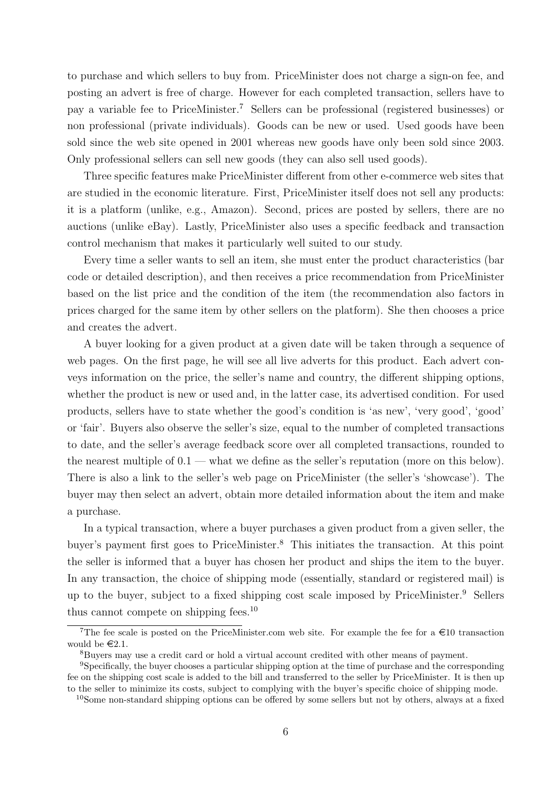to purchase and which sellers to buy from. PriceMinister does not charge a sign-on fee, and posting an advert is free of charge. However for each completed transaction, sellers have to pay a variable fee to PriceMinister.7 Sellers can be professional (registered businesses) or non professional (private individuals). Goods can be new or used. Used goods have been sold since the web site opened in 2001 whereas new goods have only been sold since 2003. Only professional sellers can sell new goods (they can also sell used goods).

Three specific features make PriceMinister different from other e-commerce web sites that are studied in the economic literature. First, PriceMinister itself does not sell any products: it is a platform (unlike, e.g., Amazon). Second, prices are posted by sellers, there are no auctions (unlike eBay). Lastly, PriceMinister also uses a specific feedback and transaction control mechanism that makes it particularly well suited to our study.

Every time a seller wants to sell an item, she must enter the product characteristics (bar code or detailed description), and then receives a price recommendation from PriceMinister based on the list price and the condition of the item (the recommendation also factors in prices charged for the same item by other sellers on the platform). She then chooses a price and creates the advert.

A buyer looking for a given product at a given date will be taken through a sequence of web pages. On the first page, he will see all live adverts for this product. Each advert conveys information on the price, the seller's name and country, the different shipping options, whether the product is new or used and, in the latter case, its advertised condition. For used products, sellers have to state whether the good's condition is 'as new', 'very good', 'good' or 'fair'. Buyers also observe the seller's size, equal to the number of completed transactions to date, and the seller's average feedback score over all completed transactions, rounded to the nearest multiple of  $0.1$  — what we define as the seller's reputation (more on this below). There is also a link to the seller's web page on PriceMinister (the seller's 'showcase'). The buyer may then select an advert, obtain more detailed information about the item and make a purchase.

In a typical transaction, where a buyer purchases a given product from a given seller, the buyer's payment first goes to PriceMinister.8 This initiates the transaction. At this point the seller is informed that a buyer has chosen her product and ships the item to the buyer. In any transaction, the choice of shipping mode (essentially, standard or registered mail) is up to the buyer, subject to a fixed shipping cost scale imposed by PriceMinister.9 Sellers thus cannot compete on shipping fees.10

<sup>&</sup>lt;sup>7</sup>The fee scale is posted on the PriceMinister.com web site. For example the fee for a  $\in$ 10 transaction would be  $\in 2.1$ .

<sup>8</sup>Buyers may use a credit card or hold a virtual account credited with other means of payment.

<sup>&</sup>lt;sup>9</sup>Specifically, the buyer chooses a particular shipping option at the time of purchase and the corresponding fee on the shipping cost scale is added to the bill and transferred to the seller by PriceMinister. It is then up to the seller to minimize its costs, subject to complying with the buyer's specific choice of shipping mode.

<sup>&</sup>lt;sup>10</sup>Some non-standard shipping options can be offered by some sellers but not by others, always at a fixed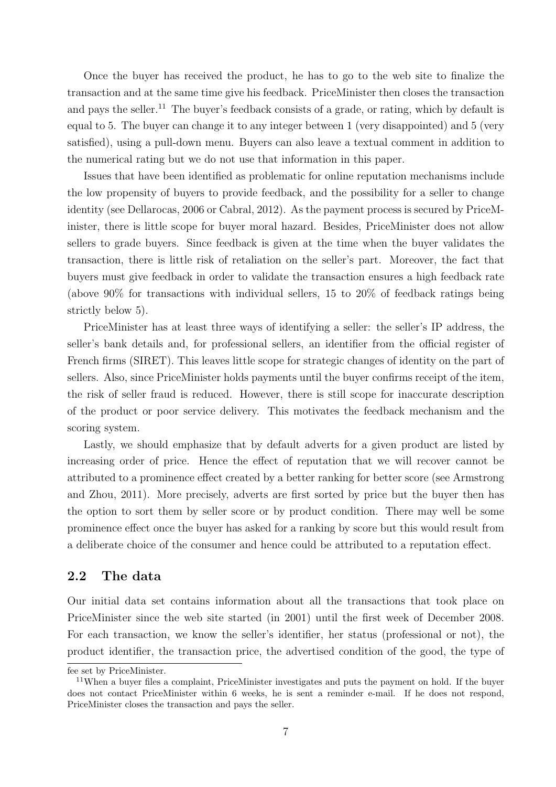Once the buyer has received the product, he has to go to the web site to finalize the transaction and at the same time give his feedback. PriceMinister then closes the transaction and pays the seller.<sup>11</sup> The buyer's feedback consists of a grade, or rating, which by default is equal to 5. The buyer can change it to any integer between 1 (very disappointed) and 5 (very satisfied), using a pull-down menu. Buyers can also leave a textual comment in addition to the numerical rating but we do not use that information in this paper.

Issues that have been identified as problematic for online reputation mechanisms include the low propensity of buyers to provide feedback, and the possibility for a seller to change identity (see Dellarocas, 2006 or Cabral, 2012). As the payment process is secured by PriceMinister, there is little scope for buyer moral hazard. Besides, PriceMinister does not allow sellers to grade buyers. Since feedback is given at the time when the buyer validates the transaction, there is little risk of retaliation on the seller's part. Moreover, the fact that buyers must give feedback in order to validate the transaction ensures a high feedback rate (above 90% for transactions with individual sellers, 15 to 20% of feedback ratings being strictly below 5).

PriceMinister has at least three ways of identifying a seller: the seller's IP address, the seller's bank details and, for professional sellers, an identifier from the official register of French firms (SIRET). This leaves little scope for strategic changes of identity on the part of sellers. Also, since PriceMinister holds payments until the buyer confirms receipt of the item, the risk of seller fraud is reduced. However, there is still scope for inaccurate description of the product or poor service delivery. This motivates the feedback mechanism and the scoring system.

Lastly, we should emphasize that by default adverts for a given product are listed by increasing order of price. Hence the effect of reputation that we will recover cannot be attributed to a prominence effect created by a better ranking for better score (see Armstrong and Zhou, 2011). More precisely, adverts are first sorted by price but the buyer then has the option to sort them by seller score or by product condition. There may well be some prominence effect once the buyer has asked for a ranking by score but this would result from a deliberate choice of the consumer and hence could be attributed to a reputation effect.

### 2.2 The data

Our initial data set contains information about all the transactions that took place on PriceMinister since the web site started (in 2001) until the first week of December 2008. For each transaction, we know the seller's identifier, her status (professional or not), the product identifier, the transaction price, the advertised condition of the good, the type of

fee set by PriceMinister.

<sup>11</sup>When a buyer files a complaint, PriceMinister investigates and puts the payment on hold. If the buyer does not contact PriceMinister within 6 weeks, he is sent a reminder e-mail. If he does not respond, PriceMinister closes the transaction and pays the seller.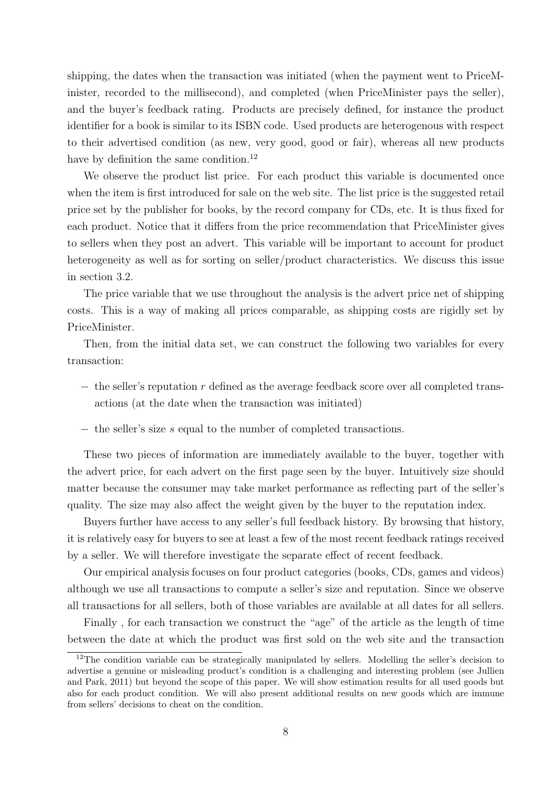shipping, the dates when the transaction was initiated (when the payment went to PriceMinister, recorded to the millisecond), and completed (when PriceMinister pays the seller), and the buyer's feedback rating. Products are precisely defined, for instance the product identifier for a book is similar to its ISBN code. Used products are heterogenous with respect to their advertised condition (as new, very good, good or fair), whereas all new products have by definition the same condition.<sup>12</sup>

We observe the product list price. For each product this variable is documented once when the item is first introduced for sale on the web site. The list price is the suggested retail price set by the publisher for books, by the record company for CDs, etc. It is thus fixed for each product. Notice that it differs from the price recommendation that PriceMinister gives to sellers when they post an advert. This variable will be important to account for product heterogeneity as well as for sorting on seller/product characteristics. We discuss this issue in section 3.2.

The price variable that we use throughout the analysis is the advert price net of shipping costs. This is a way of making all prices comparable, as shipping costs are rigidly set by PriceMinister.

Then, from the initial data set, we can construct the following two variables for every transaction:

- $-$  the seller's reputation r defined as the average feedback score over all completed transactions (at the date when the transaction was initiated)
- − the seller's size s equal to the number of completed transactions.

These two pieces of information are immediately available to the buyer, together with the advert price, for each advert on the first page seen by the buyer. Intuitively size should matter because the consumer may take market performance as reflecting part of the seller's quality. The size may also affect the weight given by the buyer to the reputation index.

Buyers further have access to any seller's full feedback history. By browsing that history, it is relatively easy for buyers to see at least a few of the most recent feedback ratings received by a seller. We will therefore investigate the separate effect of recent feedback.

Our empirical analysis focuses on four product categories (books, CDs, games and videos) although we use all transactions to compute a seller's size and reputation. Since we observe all transactions for all sellers, both of those variables are available at all dates for all sellers.

Finally , for each transaction we construct the "age" of the article as the length of time between the date at which the product was first sold on the web site and the transaction

 $12$ The condition variable can be strategically manipulated by sellers. Modelling the seller's decision to advertise a genuine or misleading product's condition is a challenging and interesting problem (see Jullien and Park, 2011) but beyond the scope of this paper. We will show estimation results for all used goods but also for each product condition. We will also present additional results on new goods which are immune from sellers' decisions to cheat on the condition.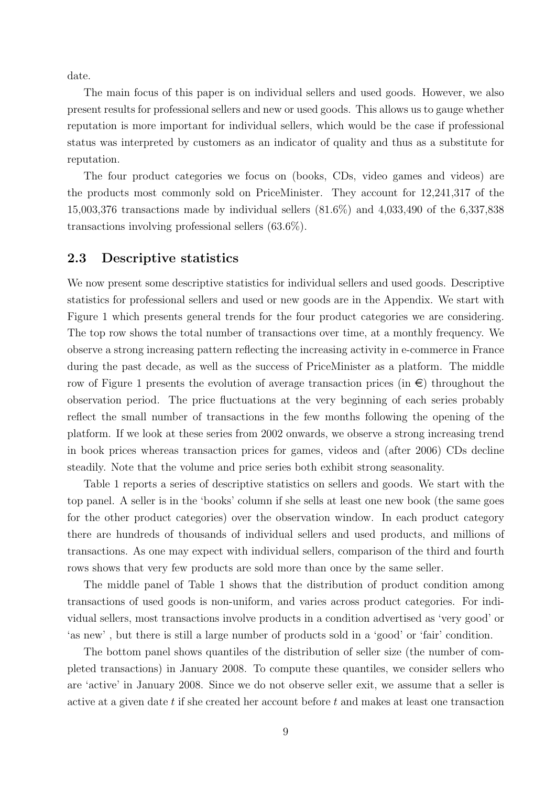date.

The main focus of this paper is on individual sellers and used goods. However, we also present results for professional sellers and new or used goods. This allows us to gauge whether reputation is more important for individual sellers, which would be the case if professional status was interpreted by customers as an indicator of quality and thus as a substitute for reputation.

The four product categories we focus on (books, CDs, video games and videos) are the products most commonly sold on PriceMinister. They account for 12,241,317 of the 15,003,376 transactions made by individual sellers (81.6%) and 4,033,490 of the 6,337,838 transactions involving professional sellers (63.6%).

### 2.3 Descriptive statistics

We now present some descriptive statistics for individual sellers and used goods. Descriptive statistics for professional sellers and used or new goods are in the Appendix. We start with Figure 1 which presents general trends for the four product categories we are considering. The top row shows the total number of transactions over time, at a monthly frequency. We observe a strong increasing pattern reflecting the increasing activity in e-commerce in France during the past decade, as well as the success of PriceMinister as a platform. The middle row of Figure 1 presents the evolution of average transaction prices (in  $\epsilon$ ) throughout the observation period. The price fluctuations at the very beginning of each series probably reflect the small number of transactions in the few months following the opening of the platform. If we look at these series from 2002 onwards, we observe a strong increasing trend in book prices whereas transaction prices for games, videos and (after 2006) CDs decline steadily. Note that the volume and price series both exhibit strong seasonality.

Table 1 reports a series of descriptive statistics on sellers and goods. We start with the top panel. A seller is in the 'books' column if she sells at least one new book (the same goes for the other product categories) over the observation window. In each product category there are hundreds of thousands of individual sellers and used products, and millions of transactions. As one may expect with individual sellers, comparison of the third and fourth rows shows that very few products are sold more than once by the same seller.

The middle panel of Table 1 shows that the distribution of product condition among transactions of used goods is non-uniform, and varies across product categories. For individual sellers, most transactions involve products in a condition advertised as 'very good' or 'as new' , but there is still a large number of products sold in a 'good' or 'fair' condition.

The bottom panel shows quantiles of the distribution of seller size (the number of completed transactions) in January 2008. To compute these quantiles, we consider sellers who are 'active' in January 2008. Since we do not observe seller exit, we assume that a seller is active at a given date t if she created her account before t and makes at least one transaction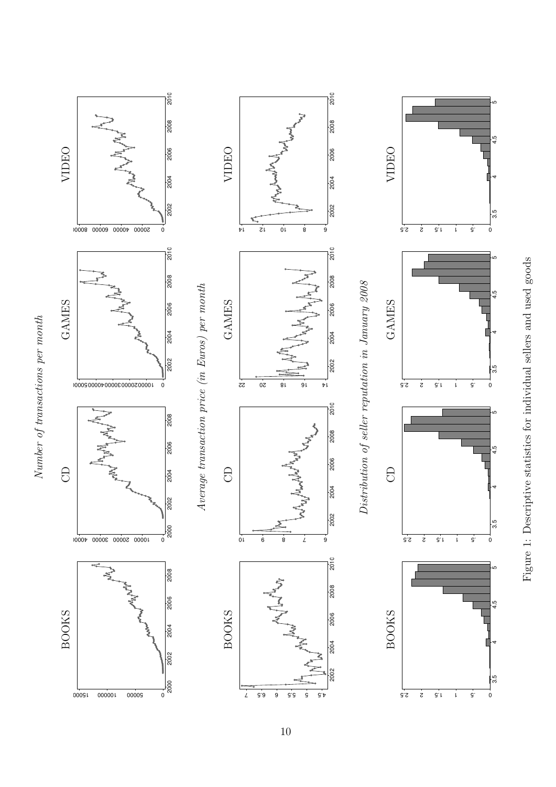

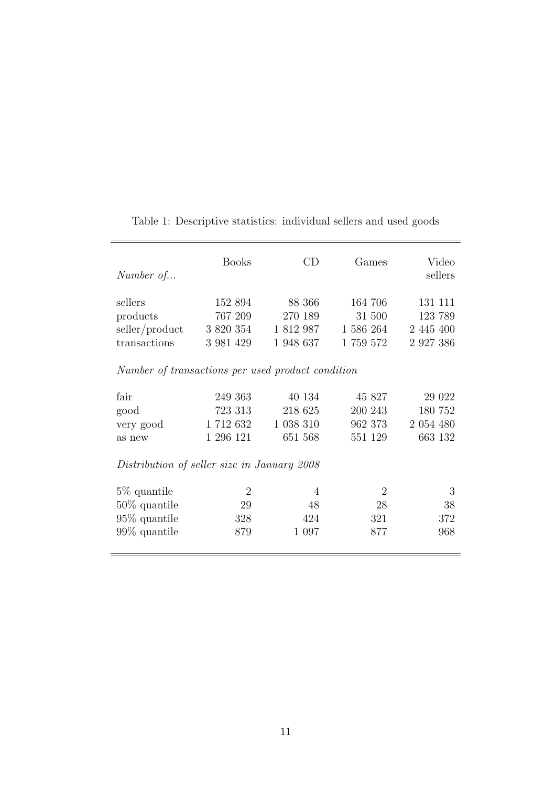| Number of                                   | <b>Books</b>                                      | CD             | Games          | Video<br>sellers |  |  |  |  |  |  |
|---------------------------------------------|---------------------------------------------------|----------------|----------------|------------------|--|--|--|--|--|--|
| sellers                                     | 152 894                                           | 88 366         | 164 706        | 131 111          |  |  |  |  |  |  |
| products                                    | 767 209                                           | 270 189        | 31 500         | 123 789          |  |  |  |  |  |  |
| seller/product                              | 3 820 354                                         | 1 812 987      | 1 586 264      | 2 445 400        |  |  |  |  |  |  |
| transactions                                | 3 981 429                                         | 1 948 637      | $1\ 759\ 572$  | 2 9 27 38 6      |  |  |  |  |  |  |
|                                             | Number of transactions per used product condition |                |                |                  |  |  |  |  |  |  |
| fair                                        | 249 363                                           | 40 134         | 45 827         | 29 022           |  |  |  |  |  |  |
| good                                        | 723 313                                           | 218 625        | 200 243        | 180 752          |  |  |  |  |  |  |
| very good                                   | 1712632                                           | 1 038 310      | 962 373        | 2 054 480        |  |  |  |  |  |  |
| as new                                      | 1 296 121                                         | 651 568        | 551 129        | 663 132          |  |  |  |  |  |  |
| Distribution of seller size in January 2008 |                                                   |                |                |                  |  |  |  |  |  |  |
| 5\% quantile                                | $\overline{2}$                                    | $\overline{4}$ | $\overline{2}$ | 3                |  |  |  |  |  |  |
| $50\%$ quantile                             | 29                                                | 48             | 28             | 38               |  |  |  |  |  |  |
| $95\%$ quantile                             | 328                                               | 424            | 321            | 372              |  |  |  |  |  |  |
| $99\%$ quantile                             | 879                                               | 1 0 9 7        | 877            | 968              |  |  |  |  |  |  |
|                                             |                                                   |                |                |                  |  |  |  |  |  |  |

Table 1: Descriptive statistics: individual sellers and used goods

<u> 1989 - Johann Stein, markin film yn y brenin y brenin y brenin y brenin y brenin y brenin y brenin y brenin y</u>

 $\equiv$ 

 $\overline{\phantom{a}}$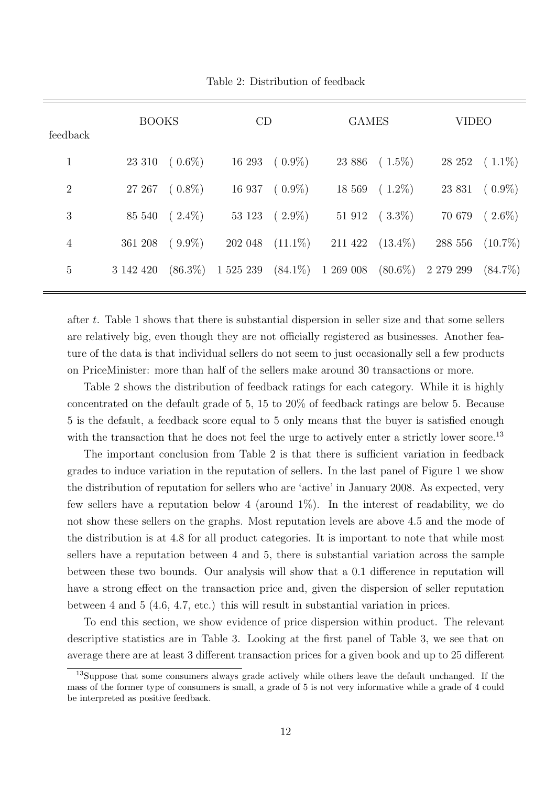| feedback        | <b>BOOKS</b> |                       | CD                                                   |                         | <b>GAMES</b>            |                       | <b>VIDEO</b>       |                       |
|-----------------|--------------|-----------------------|------------------------------------------------------|-------------------------|-------------------------|-----------------------|--------------------|-----------------------|
| $\mathbf{1}$    |              | $23\,310\quad(0.6\%)$ |                                                      | $16\ 293\quad(0.9\%)$   |                         | $23\,886\quad(1.5\%)$ |                    | $28\;252\quad(1.1\%)$ |
| $\overline{2}$  |              | $27\;267\quad(0.8\%)$ |                                                      | $16937 \quad (0.9\%)$   |                         | $18\,569\quad(1.2\%)$ | 23 831             | $(0.9\%)$             |
| 3               | 85 540       | $(2.4\%)$             |                                                      | $53\;123\quad(2.9\%)$   |                         | $51\,912\quad(3.3\%)$ | 70 679             | $(2.6\%)$             |
| $\overline{4}$  | 361 208      | $(9.9\%)$             |                                                      | $202\;048\quad(11.1\%)$ | $211\;422\quad(13.4\%)$ |                       | 288 556 $(10.7\%)$ |                       |
| $5\overline{)}$ | 3 142 420    |                       | $(86.3\%)$ 1 525 239 $(84.1\%)$ 1 269 008 $(80.6\%)$ |                         |                         |                       | 2 279 299          | $(84.7\%)$            |
|                 |              |                       |                                                      |                         |                         |                       |                    |                       |

Table 2: Distribution of feedback

after t. Table 1 shows that there is substantial dispersion in seller size and that some sellers are relatively big, even though they are not officially registered as businesses. Another feature of the data is that individual sellers do not seem to just occasionally sell a few products on PriceMinister: more than half of the sellers make around 30 transactions or more.

Table 2 shows the distribution of feedback ratings for each category. While it is highly concentrated on the default grade of 5, 15 to 20% of feedback ratings are below 5. Because 5 is the default, a feedback score equal to 5 only means that the buyer is satisfied enough with the transaction that he does not feel the urge to actively enter a strictly lower score.<sup>13</sup>

The important conclusion from Table 2 is that there is sufficient variation in feedback grades to induce variation in the reputation of sellers. In the last panel of Figure 1 we show the distribution of reputation for sellers who are 'active' in January 2008. As expected, very few sellers have a reputation below 4 (around 1%). In the interest of readability, we do not show these sellers on the graphs. Most reputation levels are above 4.5 and the mode of the distribution is at 4.8 for all product categories. It is important to note that while most sellers have a reputation between 4 and 5, there is substantial variation across the sample between these two bounds. Our analysis will show that a 0.1 difference in reputation will have a strong effect on the transaction price and, given the dispersion of seller reputation between 4 and 5 (4.6, 4.7, etc.) this will result in substantial variation in prices.

To end this section, we show evidence of price dispersion within product. The relevant descriptive statistics are in Table 3. Looking at the first panel of Table 3, we see that on average there are at least 3 different transaction prices for a given book and up to 25 different

<sup>&</sup>lt;sup>13</sup>Suppose that some consumers always grade actively while others leave the default unchanged. If the mass of the former type of consumers is small, a grade of 5 is not very informative while a grade of 4 could be interpreted as positive feedback.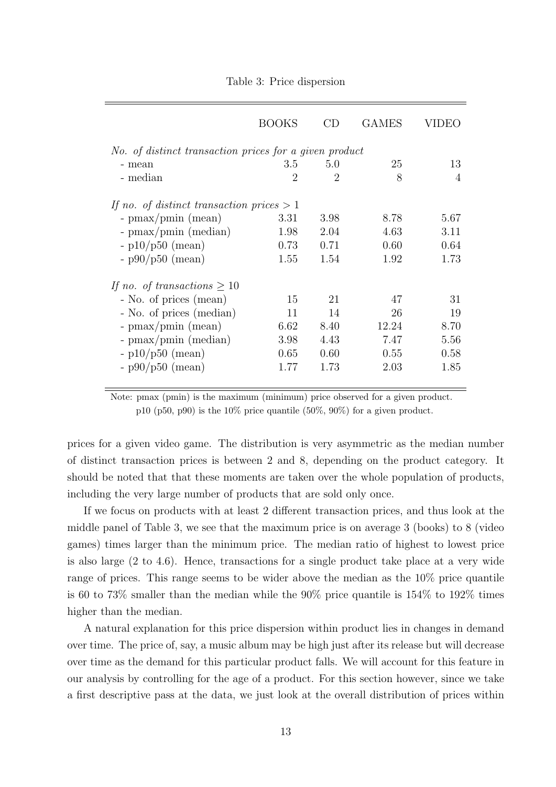|                                             | <b>BOOKS</b>                                           | CD                          | <b>GAMES</b> | VIDEO          |  |  |  |  |  |  |
|---------------------------------------------|--------------------------------------------------------|-----------------------------|--------------|----------------|--|--|--|--|--|--|
|                                             | No. of distinct transaction prices for a given product |                             |              |                |  |  |  |  |  |  |
| - mean                                      | 3.5                                                    | 5.0                         | 25           | 13             |  |  |  |  |  |  |
| - median                                    | $\overline{2}$                                         | $\mathcal{D}_{\mathcal{L}}$ | 8            | $\overline{4}$ |  |  |  |  |  |  |
| If no. of distinct transaction prices $> 1$ |                                                        |                             |              |                |  |  |  |  |  |  |
| - $\text{pmax}/\text{pmin}$ (mean)          | 3.31                                                   | 3.98                        | 8.78         | 5.67           |  |  |  |  |  |  |
| - $\text{pmax}/\text{pmin}$ (median)        | 1.98                                                   | 2.04                        | 4.63         | 3.11           |  |  |  |  |  |  |
| $- p10/p50$ (mean)                          | 0.73                                                   | 0.71                        | 0.60         | 0.64           |  |  |  |  |  |  |
| $-$ p90/p50 (mean)                          | 1.55                                                   | 1.54                        | 1.92         | 1.73           |  |  |  |  |  |  |
| If no. of transactions $\geq 10$            |                                                        |                             |              |                |  |  |  |  |  |  |
| - No. of prices (mean)                      | 15                                                     | 21                          | 47           | 31             |  |  |  |  |  |  |
| - No. of prices (median)                    | 11                                                     | 14                          | 26           | 19             |  |  |  |  |  |  |
| - $\text{pmax}/\text{pmin}$ (mean)          | 6.62                                                   | 8.40                        | 12.24        | 8.70           |  |  |  |  |  |  |
| - $\text{pmax}/\text{pmin}$ (median)        | 3.98                                                   | 4.43                        | 7.47         | 5.56           |  |  |  |  |  |  |
| $-p10/p50$ (mean)                           | 0.65                                                   | 0.60                        | 0.55         | 0.58           |  |  |  |  |  |  |
| $-$ p90/p50 (mean)                          | 1.77                                                   | 1.73                        | 2.03         | 1.85           |  |  |  |  |  |  |

Table 3: Price dispersion

prices for a given video game. The distribution is very asymmetric as the median number of distinct transaction prices is between 2 and 8, depending on the product category. It should be noted that that these moments are taken over the whole population of products, including the very large number of products that are sold only once.

If we focus on products with at least 2 different transaction prices, and thus look at the middle panel of Table 3, we see that the maximum price is on average 3 (books) to 8 (video games) times larger than the minimum price. The median ratio of highest to lowest price is also large (2 to 4.6). Hence, transactions for a single product take place at a very wide range of prices. This range seems to be wider above the median as the 10% price quantile is 60 to 73% smaller than the median while the 90% price quantile is 154% to 192% times higher than the median.

A natural explanation for this price dispersion within product lies in changes in demand over time. The price of, say, a music album may be high just after its release but will decrease over time as the demand for this particular product falls. We will account for this feature in our analysis by controlling for the age of a product. For this section however, since we take a first descriptive pass at the data, we just look at the overall distribution of prices within

Note: pmax (pmin) is the maximum (minimum) price observed for a given product. p10 (p50, p90) is the  $10\%$  price quantile (50%, 90%) for a given product.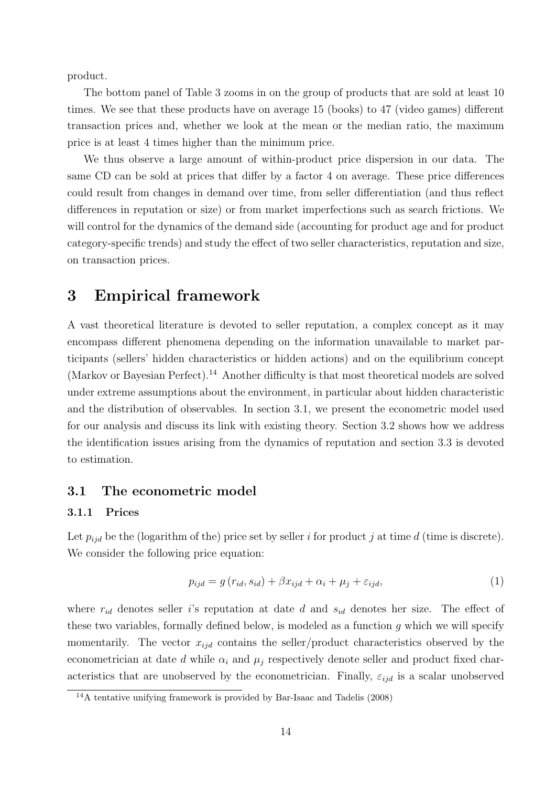product.

The bottom panel of Table 3 zooms in on the group of products that are sold at least 10 times. We see that these products have on average 15 (books) to 47 (video games) different transaction prices and, whether we look at the mean or the median ratio, the maximum price is at least 4 times higher than the minimum price.

We thus observe a large amount of within-product price dispersion in our data. The same CD can be sold at prices that differ by a factor 4 on average. These price differences could result from changes in demand over time, from seller differentiation (and thus reflect differences in reputation or size) or from market imperfections such as search frictions. We will control for the dynamics of the demand side (accounting for product age and for product category-specific trends) and study the effect of two seller characteristics, reputation and size, on transaction prices.

# 3 Empirical framework

A vast theoretical literature is devoted to seller reputation, a complex concept as it may encompass different phenomena depending on the information unavailable to market participants (sellers' hidden characteristics or hidden actions) and on the equilibrium concept (Markov or Bayesian Perfect).<sup>14</sup> Another difficulty is that most theoretical models are solved under extreme assumptions about the environment, in particular about hidden characteristic and the distribution of observables. In section 3.1, we present the econometric model used for our analysis and discuss its link with existing theory. Section 3.2 shows how we address the identification issues arising from the dynamics of reputation and section 3.3 is devoted to estimation.

### 3.1 The econometric model

#### 3.1.1 Prices

Let  $p_{iid}$  be the (logarithm of the) price set by seller i for product j at time d (time is discrete). We consider the following price equation:

$$
p_{ijd} = g(r_{id}, s_{id}) + \beta x_{ijd} + \alpha_i + \mu_j + \varepsilon_{ijd}, \tag{1}
$$

where  $r_{id}$  denotes seller is reputation at date d and  $s_{id}$  denotes her size. The effect of these two variables, formally defined below, is modeled as a function g which we will specify momentarily. The vector  $x_{ijd}$  contains the seller/product characteristics observed by the econometrician at date d while  $\alpha_i$  and  $\mu_j$  respectively denote seller and product fixed characteristics that are unobserved by the econometrician. Finally,  $\varepsilon_{ijd}$  is a scalar unobserved

 $14A$  tentative unifying framework is provided by Bar-Isaac and Tadelis (2008)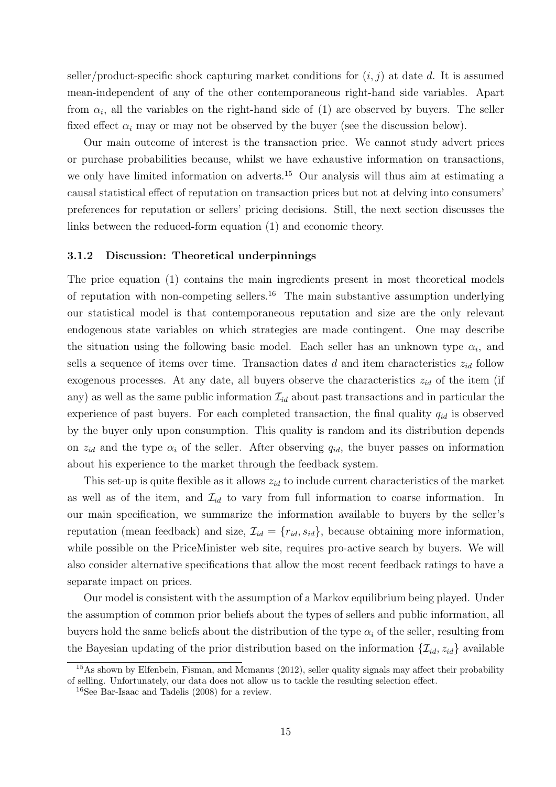seller/product-specific shock capturing market conditions for  $(i, j)$  at date d. It is assumed mean-independent of any of the other contemporaneous right-hand side variables. Apart from  $\alpha_i$ , all the variables on the right-hand side of (1) are observed by buyers. The seller fixed effect  $\alpha_i$  may or may not be observed by the buyer (see the discussion below).

Our main outcome of interest is the transaction price. We cannot study advert prices or purchase probabilities because, whilst we have exhaustive information on transactions, we only have limited information on adverts.<sup>15</sup> Our analysis will thus aim at estimating a causal statistical effect of reputation on transaction prices but not at delving into consumers' preferences for reputation or sellers' pricing decisions. Still, the next section discusses the links between the reduced-form equation (1) and economic theory.

#### 3.1.2 Discussion: Theoretical underpinnings

The price equation (1) contains the main ingredients present in most theoretical models of reputation with non-competing sellers.<sup>16</sup> The main substantive assumption underlying our statistical model is that contemporaneous reputation and size are the only relevant endogenous state variables on which strategies are made contingent. One may describe the situation using the following basic model. Each seller has an unknown type  $\alpha_i$ , and sells a sequence of items over time. Transaction dates  $d$  and item characteristics  $z_{id}$  follow exogenous processes. At any date, all buyers observe the characteristics  $z_{id}$  of the item (if any) as well as the same public information  $\mathcal{I}_{id}$  about past transactions and in particular the experience of past buyers. For each completed transaction, the final quality  $q_{id}$  is observed by the buyer only upon consumption. This quality is random and its distribution depends on  $z_{id}$  and the type  $\alpha_i$  of the seller. After observing  $q_{id}$ , the buyer passes on information about his experience to the market through the feedback system.

This set-up is quite flexible as it allows  $z_{id}$  to include current characteristics of the market as well as of the item, and  $\mathcal{I}_{id}$  to vary from full information to coarse information. In our main specification, we summarize the information available to buyers by the seller's reputation (mean feedback) and size,  $\mathcal{I}_{id} = \{r_{id}, s_{id}\}\)$ , because obtaining more information, while possible on the PriceMinister web site, requires pro-active search by buyers. We will also consider alternative specifications that allow the most recent feedback ratings to have a separate impact on prices.

Our model is consistent with the assumption of a Markov equilibrium being played. Under the assumption of common prior beliefs about the types of sellers and public information, all buyers hold the same beliefs about the distribution of the type  $\alpha_i$  of the seller, resulting from the Bayesian updating of the prior distribution based on the information  $\{\mathcal{I}_{id}, z_{id}\}$  available

<sup>&</sup>lt;sup>15</sup>As shown by Elfenbein, Fisman, and Mcmanus (2012), seller quality signals may affect their probability of selling. Unfortunately, our data does not allow us to tackle the resulting selection effect.

<sup>16</sup>See Bar-Isaac and Tadelis (2008) for a review.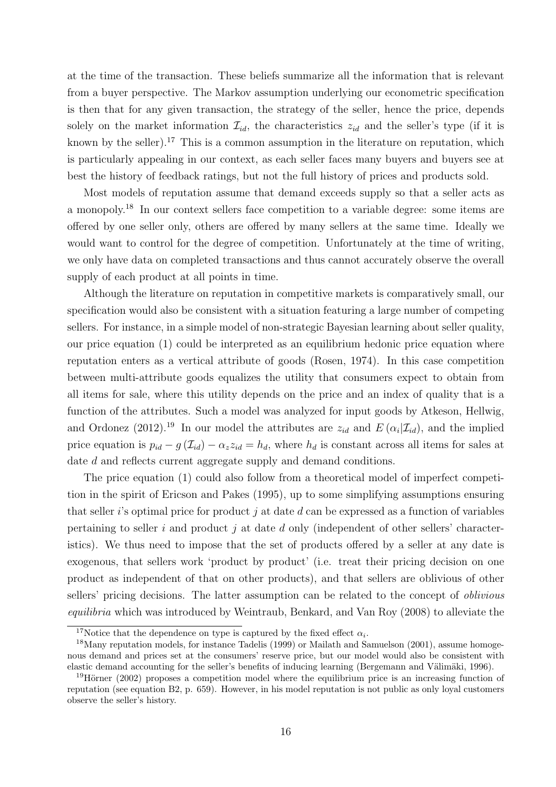at the time of the transaction. These beliefs summarize all the information that is relevant from a buyer perspective. The Markov assumption underlying our econometric specification is then that for any given transaction, the strategy of the seller, hence the price, depends solely on the market information  $\mathcal{I}_{id}$ , the characteristics  $z_{id}$  and the seller's type (if it is known by the seller).<sup>17</sup> This is a common assumption in the literature on reputation, which is particularly appealing in our context, as each seller faces many buyers and buyers see at best the history of feedback ratings, but not the full history of prices and products sold.

Most models of reputation assume that demand exceeds supply so that a seller acts as a monopoly.18 In our context sellers face competition to a variable degree: some items are offered by one seller only, others are offered by many sellers at the same time. Ideally we would want to control for the degree of competition. Unfortunately at the time of writing, we only have data on completed transactions and thus cannot accurately observe the overall supply of each product at all points in time.

Although the literature on reputation in competitive markets is comparatively small, our specification would also be consistent with a situation featuring a large number of competing sellers. For instance, in a simple model of non-strategic Bayesian learning about seller quality, our price equation (1) could be interpreted as an equilibrium hedonic price equation where reputation enters as a vertical attribute of goods (Rosen, 1974). In this case competition between multi-attribute goods equalizes the utility that consumers expect to obtain from all items for sale, where this utility depends on the price and an index of quality that is a function of the attributes. Such a model was analyzed for input goods by Atkeson, Hellwig, and Ordonez (2012).<sup>19</sup> In our model the attributes are  $z_{id}$  and  $E(\alpha_i|\mathcal{I}_{id})$ , and the implied price equation is  $p_{id} - g(\mathcal{I}_{id}) - \alpha_z z_{id} = h_d$ , where  $h_d$  is constant across all items for sales at date d and reflects current aggregate supply and demand conditions.

The price equation (1) could also follow from a theoretical model of imperfect competition in the spirit of Ericson and Pakes (1995), up to some simplifying assumptions ensuring that seller i's optimal price for product j at date d can be expressed as a function of variables pertaining to seller i and product j at date d only (independent of other sellers' characteristics). We thus need to impose that the set of products offered by a seller at any date is exogenous, that sellers work 'product by product' (i.e. treat their pricing decision on one product as independent of that on other products), and that sellers are oblivious of other sellers' pricing decisions. The latter assumption can be related to the concept of *oblivious* equilibria which was introduced by Weintraub, Benkard, and Van Roy (2008) to alleviate the

<sup>&</sup>lt;sup>17</sup>Notice that the dependence on type is captured by the fixed effect  $\alpha_i$ .

<sup>&</sup>lt;sup>18</sup>Many reputation models, for instance Tadelis (1999) or Mailath and Samuelson (2001), assume homogenous demand and prices set at the consumers' reserve price, but our model would also be consistent with elastic demand accounting for the seller's benefits of inducing learning (Bergemann and Välimäki, 1996).

 $19$ Hörner (2002) proposes a competition model where the equilibrium price is an increasing function of reputation (see equation B2, p. 659). However, in his model reputation is not public as only loyal customers observe the seller's history.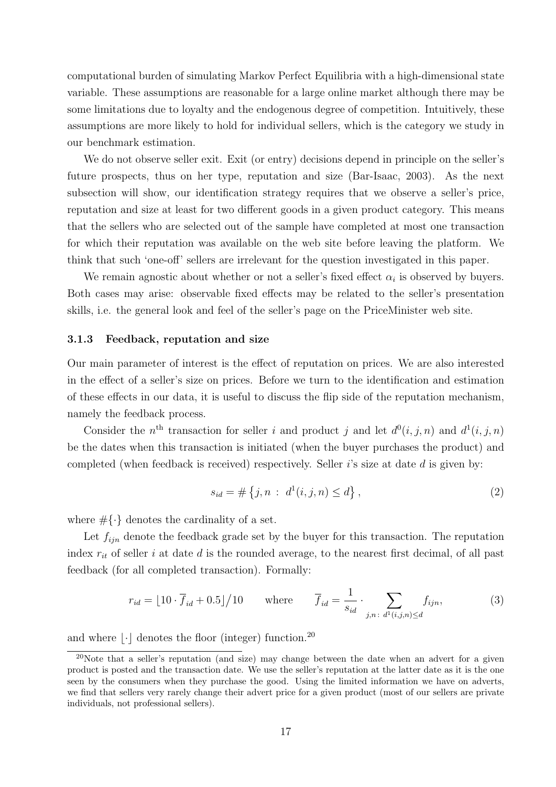computational burden of simulating Markov Perfect Equilibria with a high-dimensional state variable. These assumptions are reasonable for a large online market although there may be some limitations due to loyalty and the endogenous degree of competition. Intuitively, these assumptions are more likely to hold for individual sellers, which is the category we study in our benchmark estimation.

We do not observe seller exit. Exit (or entry) decisions depend in principle on the seller's future prospects, thus on her type, reputation and size (Bar-Isaac, 2003). As the next subsection will show, our identification strategy requires that we observe a seller's price, reputation and size at least for two different goods in a given product category. This means that the sellers who are selected out of the sample have completed at most one transaction for which their reputation was available on the web site before leaving the platform. We think that such 'one-off' sellers are irrelevant for the question investigated in this paper.

We remain agnostic about whether or not a seller's fixed effect  $\alpha_i$  is observed by buyers. Both cases may arise: observable fixed effects may be related to the seller's presentation skills, i.e. the general look and feel of the seller's page on the PriceMinister web site.

#### 3.1.3 Feedback, reputation and size

Our main parameter of interest is the effect of reputation on prices. We are also interested in the effect of a seller's size on prices. Before we turn to the identification and estimation of these effects in our data, it is useful to discuss the flip side of the reputation mechanism, namely the feedback process.

Consider the n<sup>th</sup> transaction for seller i and product j and let  $d^0(i, j, n)$  and  $d^1(i, j, n)$ be the dates when this transaction is initiated (when the buyer purchases the product) and completed (when feedback is received) respectively. Seller i's size at date d is given by:

$$
s_{id} = \# \{ j, n : d^1(i, j, n) \le d \}, \tag{2}
$$

where  $\#\{\cdot\}$  denotes the cardinality of a set.

Let  $f_{i\dot{i}n}$  denote the feedback grade set by the buyer for this transaction. The reputation index  $r_{it}$  of seller i at date d is the rounded average, to the nearest first decimal, of all past feedback (for all completed transaction). Formally:

$$
r_{id} = \lfloor 10 \cdot \overline{f}_{id} + 0.5 \rfloor / 10 \quad \text{where} \quad \overline{f}_{id} = \frac{1}{s_{id}} \cdot \sum_{j,n \colon d^1(i,j,n) \le d} f_{ijn}, \tag{3}
$$

and where  $|\cdot|$  denotes the floor (integer) function.<sup>20</sup>

<sup>&</sup>lt;sup>20</sup>Note that a seller's reputation (and size) may change between the date when an advert for a given product is posted and the transaction date. We use the seller's reputation at the latter date as it is the one seen by the consumers when they purchase the good. Using the limited information we have on adverts, we find that sellers very rarely change their advert price for a given product (most of our sellers are private individuals, not professional sellers).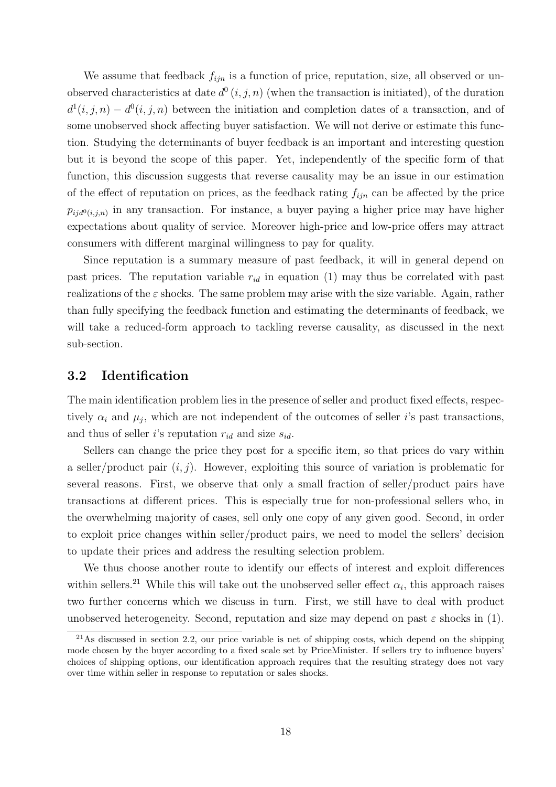We assume that feedback  $f_{ijn}$  is a function of price, reputation, size, all observed or unobserved characteristics at date  $d^0(i, j, n)$  (when the transaction is initiated), of the duration  $d^1(i,j,n) - d^0(i,j,n)$  between the initiation and completion dates of a transaction, and of some unobserved shock affecting buyer satisfaction. We will not derive or estimate this function. Studying the determinants of buyer feedback is an important and interesting question but it is beyond the scope of this paper. Yet, independently of the specific form of that function, this discussion suggests that reverse causality may be an issue in our estimation of the effect of reputation on prices, as the feedback rating  $f_{ijn}$  can be affected by the price  $p_{ijd^0(i,j,n)}$  in any transaction. For instance, a buyer paying a higher price may have higher expectations about quality of service. Moreover high-price and low-price offers may attract consumers with different marginal willingness to pay for quality.

Since reputation is a summary measure of past feedback, it will in general depend on past prices. The reputation variable  $r_{id}$  in equation (1) may thus be correlated with past realizations of the  $\varepsilon$  shocks. The same problem may arise with the size variable. Again, rather than fully specifying the feedback function and estimating the determinants of feedback, we will take a reduced-form approach to tackling reverse causality, as discussed in the next sub-section.

### 3.2 Identification

The main identification problem lies in the presence of seller and product fixed effects, respectively  $\alpha_i$  and  $\mu_j$ , which are not independent of the outcomes of seller *i*'s past transactions, and thus of seller i's reputation  $r_{id}$  and size  $s_{id}$ .

Sellers can change the price they post for a specific item, so that prices do vary within a seller/product pair  $(i, j)$ . However, exploiting this source of variation is problematic for several reasons. First, we observe that only a small fraction of seller/product pairs have transactions at different prices. This is especially true for non-professional sellers who, in the overwhelming majority of cases, sell only one copy of any given good. Second, in order to exploit price changes within seller/product pairs, we need to model the sellers' decision to update their prices and address the resulting selection problem.

We thus choose another route to identify our effects of interest and exploit differences within sellers.<sup>21</sup> While this will take out the unobserved seller effect  $\alpha_i$ , this approach raises two further concerns which we discuss in turn. First, we still have to deal with product unobserved heterogeneity. Second, reputation and size may depend on past  $\varepsilon$  shocks in (1).

 $^{21}$ As discussed in section 2.2, our price variable is net of shipping costs, which depend on the shipping mode chosen by the buyer according to a fixed scale set by PriceMinister. If sellers try to influence buyers' choices of shipping options, our identification approach requires that the resulting strategy does not vary over time within seller in response to reputation or sales shocks.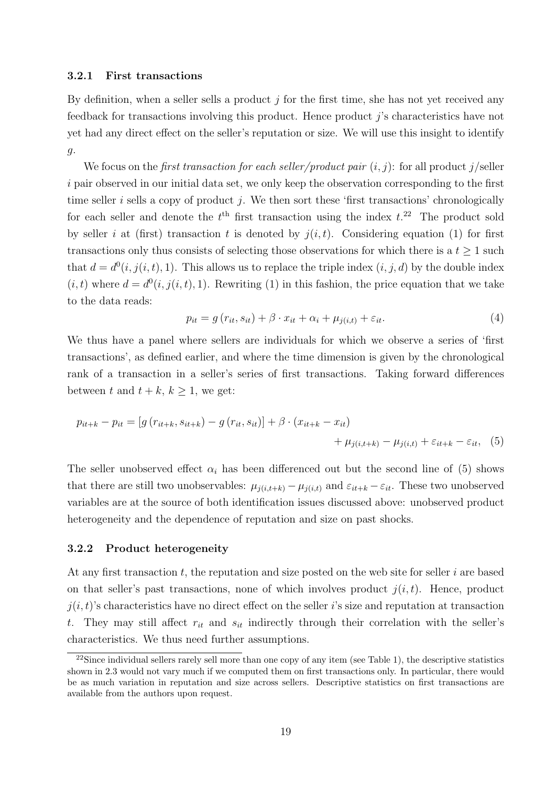#### 3.2.1 First transactions

By definition, when a seller sells a product  $j$  for the first time, she has not yet received any feedback for transactions involving this product. Hence product  $j$ 's characteristics have not yet had any direct effect on the seller's reputation or size. We will use this insight to identify g.

We focus on the *first transaction for each seller/product pair*  $(i, j)$ : for all product  $j$ /seller i pair observed in our initial data set, we only keep the observation corresponding to the first time seller i sells a copy of product j. We then sort these 'first transactions' chronologically for each seller and denote the  $t<sup>th</sup>$  first transaction using the index  $t<sup>22</sup>$ . The product sold by seller i at (first) transaction t is denoted by  $j(i, t)$ . Considering equation (1) for first transactions only thus consists of selecting those observations for which there is a  $t \geq 1$  such that  $d = d^0(i, j(i, t), 1)$ . This allows us to replace the triple index  $(i, j, d)$  by the double index  $(i, t)$  where  $d = d^{0}(i, j(i, t), 1)$ . Rewriting (1) in this fashion, the price equation that we take to the data reads:

$$
p_{it} = g(r_{it}, s_{it}) + \beta \cdot x_{it} + \alpha_i + \mu_{j(i, t)} + \varepsilon_{it}.
$$
\n
$$
\tag{4}
$$

We thus have a panel where sellers are individuals for which we observe a series of 'first transactions', as defined earlier, and where the time dimension is given by the chronological rank of a transaction in a seller's series of first transactions. Taking forward differences between t and  $t + k$ ,  $k \geq 1$ , we get:

$$
p_{it+k} - p_{it} = [g(r_{it+k}, s_{it+k}) - g(r_{it}, s_{it})] + \beta \cdot (x_{it+k} - x_{it}) + \mu_{j(i,t+k)} - \mu_{j(i,t)} + \varepsilon_{it+k} - \varepsilon_{it}, (5)
$$

The seller unobserved effect  $\alpha_i$  has been differenced out but the second line of (5) shows that there are still two unobservables:  $\mu_{j(i,t+k)} - \mu_{j(i,t)}$  and  $\varepsilon_{it+k} - \varepsilon_{it}$ . These two unobserved variables are at the source of both identification issues discussed above: unobserved product heterogeneity and the dependence of reputation and size on past shocks.

#### 3.2.2 Product heterogeneity

At any first transaction  $t$ , the reputation and size posted on the web site for seller i are based on that seller's past transactions, none of which involves product  $i(i, t)$ . Hence, product  $j(i, t)$ 's characteristics have no direct effect on the seller i's size and reputation at transaction t. They may still affect  $r_{it}$  and  $s_{it}$  indirectly through their correlation with the seller's characteristics. We thus need further assumptions.

 $22$ Since individual sellers rarely sell more than one copy of any item (see Table 1), the descriptive statistics shown in 2.3 would not vary much if we computed them on first transactions only. In particular, there would be as much variation in reputation and size across sellers. Descriptive statistics on first transactions are available from the authors upon request.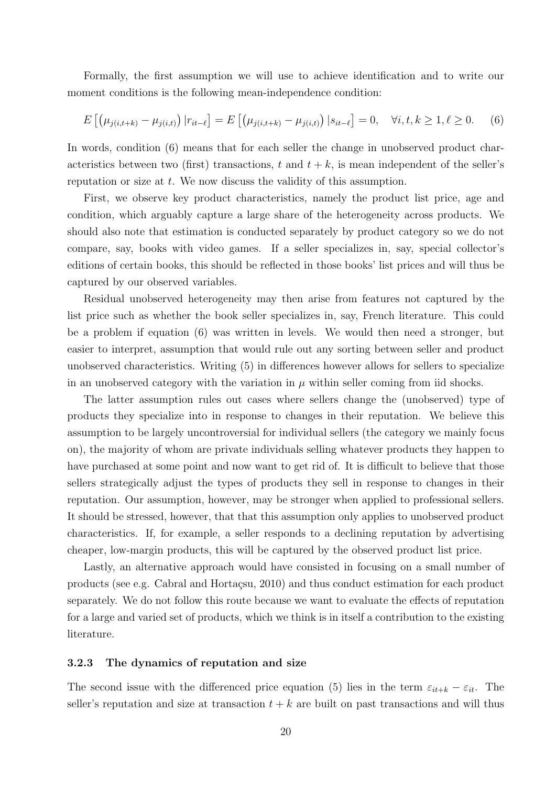Formally, the first assumption we will use to achieve identification and to write our moment conditions is the following mean-independence condition:

$$
E\left[\left(\mu_{j(i,t+k)} - \mu_{j(i,t)}\right)|r_{it-\ell}\right] = E\left[\left(\mu_{j(i,t+k)} - \mu_{j(i,t)}\right)|s_{it-\ell}\right] = 0, \quad \forall i, t, k \ge 1, \ell \ge 0. \tag{6}
$$

In words, condition (6) means that for each seller the change in unobserved product characteristics between two (first) transactions, t and  $t + k$ , is mean independent of the seller's reputation or size at t. We now discuss the validity of this assumption.

First, we observe key product characteristics, namely the product list price, age and condition, which arguably capture a large share of the heterogeneity across products. We should also note that estimation is conducted separately by product category so we do not compare, say, books with video games. If a seller specializes in, say, special collector's editions of certain books, this should be reflected in those books' list prices and will thus be captured by our observed variables.

Residual unobserved heterogeneity may then arise from features not captured by the list price such as whether the book seller specializes in, say, French literature. This could be a problem if equation (6) was written in levels. We would then need a stronger, but easier to interpret, assumption that would rule out any sorting between seller and product unobserved characteristics. Writing (5) in differences however allows for sellers to specialize in an unobserved category with the variation in  $\mu$  within seller coming from iid shocks.

The latter assumption rules out cases where sellers change the (unobserved) type of products they specialize into in response to changes in their reputation. We believe this assumption to be largely uncontroversial for individual sellers (the category we mainly focus on), the majority of whom are private individuals selling whatever products they happen to have purchased at some point and now want to get rid of. It is difficult to believe that those sellers strategically adjust the types of products they sell in response to changes in their reputation. Our assumption, however, may be stronger when applied to professional sellers. It should be stressed, however, that that this assumption only applies to unobserved product characteristics. If, for example, a seller responds to a declining reputation by advertising cheaper, low-margin products, this will be captured by the observed product list price.

Lastly, an alternative approach would have consisted in focusing on a small number of products (see e.g. Cabral and Hortaçsu, 2010) and thus conduct estimation for each product separately. We do not follow this route because we want to evaluate the effects of reputation for a large and varied set of products, which we think is in itself a contribution to the existing literature.

#### 3.2.3 The dynamics of reputation and size

The second issue with the differenced price equation (5) lies in the term  $\varepsilon_{it+k} - \varepsilon_{it}$ . The seller's reputation and size at transaction  $t + k$  are built on past transactions and will thus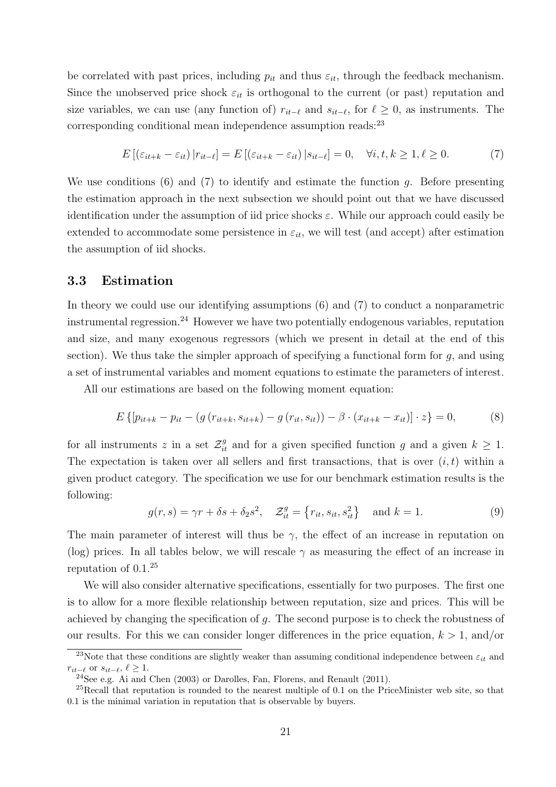be correlated with past prices, including  $p_{it}$  and thus  $\varepsilon_{it}$ , through the feedback mechanism. Since the unobserved price shock  $\varepsilon_{it}$  is orthogonal to the current (or past) reputation and size variables, we can use (any function of)  $r_{it-*l*}$  and  $s_{it-*l*}$ , for *, as instruments. The* corresponding conditional mean independence assumption reads:<sup>23</sup>

$$
E\left[\left(\varepsilon_{it+k} - \varepsilon_{it}\right)|r_{it-\ell}\right] = E\left[\left(\varepsilon_{it+k} - \varepsilon_{it}\right)|s_{it-\ell}\right] = 0, \quad \forall i, t, k \ge 1, \ell \ge 0. \tag{7}
$$

We use conditions  $(6)$  and  $(7)$  to identify and estimate the function g. Before presenting the estimation approach in the next subsection we should point out that we have discussed identification under the assumption of iid price shocks  $\varepsilon$ . While our approach could easily be extended to accommodate some persistence in  $\varepsilon_{it}$ , we will test (and accept) after estimation the assumption of iid shocks.

### 3.3 Estimation

In theory we could use our identifying assumptions (6) and (7) to conduct a nonparametric instrumental regression.24 However we have two potentially endogenous variables, reputation and size, and many exogenous regressors (which we present in detail at the end of this section). We thus take the simpler approach of specifying a functional form for  $g$ , and using a set of instrumental variables and moment equations to estimate the parameters of interest.

All our estimations are based on the following moment equation:

$$
E\left\{ \left[ p_{it+k} - p_{it} - \left( g\left( r_{it+k}, s_{it+k} \right) - g\left( r_{it}, s_{it} \right) \right) - \beta \cdot \left( x_{it+k} - x_{it} \right) \right] \cdot z \right\} = 0, \tag{8}
$$

for all instruments z in a set  $\mathcal{Z}_{it}^g$  and for a given specified function g and a given  $k \geq 1$ . The expectation is taken over all sellers and first transactions, that is over  $(i, t)$  within a given product category. The specification we use for our benchmark estimation results is the following:

$$
g(r,s) = \gamma r + \delta s + \delta_2 s^2, \quad \mathcal{Z}_{it}^g = \left\{ r_{it}, s_{it}, s_{it}^2 \right\} \quad \text{and } k = 1.
$$
 (9)

The main parameter of interest will thus be  $\gamma$ , the effect of an increase in reputation on (log) prices. In all tables below, we will rescale  $\gamma$  as measuring the effect of an increase in reputation of 0.1.25

We will also consider alternative specifications, essentially for two purposes. The first one is to allow for a more flexible relationship between reputation, size and prices. This will be achieved by changing the specification of g. The second purpose is to check the robustness of our results. For this we can consider longer differences in the price equation,  $k > 1$ , and/or

<sup>&</sup>lt;sup>23</sup>Note that these conditions are slightly weaker than assuming conditional independence between  $\varepsilon_{it}$  and  $r_{it-\ell}$  or  $s_{it-\ell}, \ell \geq 1$ .

 $^{24}$ See e.g. Ai and Chen (2003) or Darolles, Fan, Florens, and Renault (2011).

 $^{25}$ Recall that reputation is rounded to the nearest multiple of 0.1 on the PriceMinister web site, so that 0.1 is the minimal variation in reputation that is observable by buyers.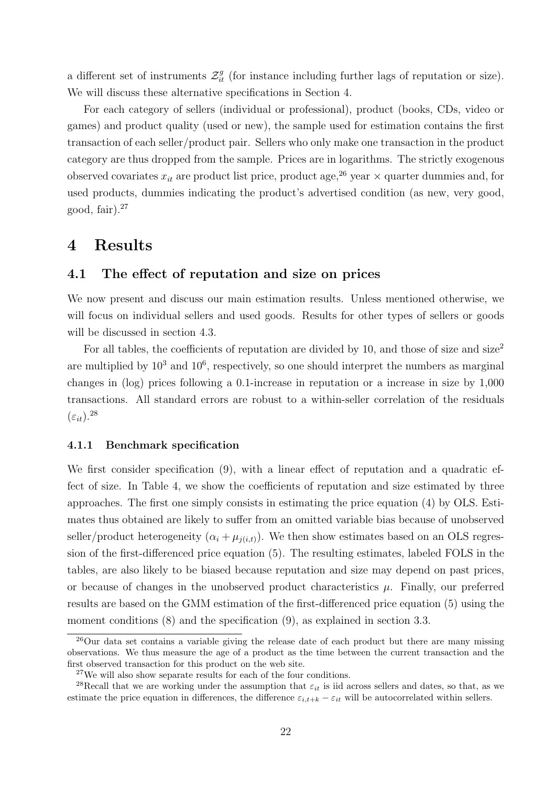a different set of instruments  $\mathcal{Z}_{it}^g$  (for instance including further lags of reputation or size). We will discuss these alternative specifications in Section 4.

For each category of sellers (individual or professional), product (books, CDs, video or games) and product quality (used or new), the sample used for estimation contains the first transaction of each seller/product pair. Sellers who only make one transaction in the product category are thus dropped from the sample. Prices are in logarithms. The strictly exogenous observed covariates  $x_{it}$  are product list price, product age,<sup>26</sup> year  $\times$  quarter dummies and, for used products, dummies indicating the product's advertised condition (as new, very good, good, fair $^{27}$ 

# 4 Results

### 4.1 The effect of reputation and size on prices

We now present and discuss our main estimation results. Unless mentioned otherwise, we will focus on individual sellers and used goods. Results for other types of sellers or goods will be discussed in section 4.3.

For all tables, the coefficients of reputation are divided by 10, and those of size and size<sup>2</sup> are multiplied by  $10^3$  and  $10^6$ , respectively, so one should interpret the numbers as marginal changes in (log) prices following a 0.1-increase in reputation or a increase in size by 1,000 transactions. All standard errors are robust to a within-seller correlation of the residuals  $(\varepsilon_{it})^{28}$ 

#### 4.1.1 Benchmark specification

We first consider specification (9), with a linear effect of reputation and a quadratic effect of size. In Table 4, we show the coefficients of reputation and size estimated by three approaches. The first one simply consists in estimating the price equation (4) by OLS. Estimates thus obtained are likely to suffer from an omitted variable bias because of unobserved seller/product heterogeneity  $(\alpha_i + \mu_{i(i,t)})$ . We then show estimates based on an OLS regression of the first-differenced price equation (5). The resulting estimates, labeled FOLS in the tables, are also likely to be biased because reputation and size may depend on past prices, or because of changes in the unobserved product characteristics  $\mu$ . Finally, our preferred results are based on the GMM estimation of the first-differenced price equation (5) using the moment conditions  $(8)$  and the specification  $(9)$ , as explained in section 3.3.

<sup>26</sup>Our data set contains a variable giving the release date of each product but there are many missing observations. We thus measure the age of a product as the time between the current transaction and the first observed transaction for this product on the web site.

<sup>27</sup>We will also show separate results for each of the four conditions.

<sup>&</sup>lt;sup>28</sup>Recall that we are working under the assumption that  $\varepsilon_{it}$  is iid across sellers and dates, so that, as we estimate the price equation in differences, the difference  $\varepsilon_{i,t+k} - \varepsilon_{it}$  will be autocorrelated within sellers.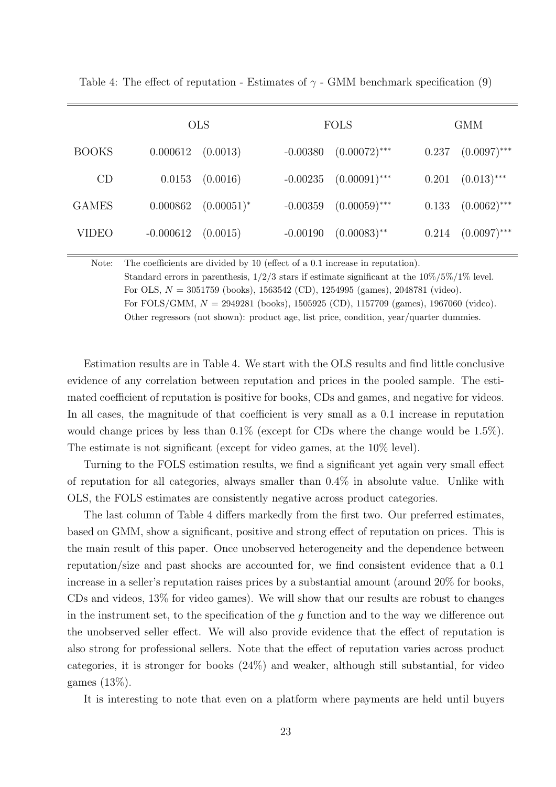|              |             | <b>OLS</b>    |            | <b>FOLS</b>     |       | <b>GMM</b>     |
|--------------|-------------|---------------|------------|-----------------|-------|----------------|
| <b>BOOKS</b> | 0.000612    | (0.0013)      | $-0.00380$ | $(0.00072)$ *** | 0.237 | $(0.0097)$ *** |
| CD           | 0.0153      | (0.0016)      | $-0.00235$ | $(0.00091)$ *** | 0.201 | $(0.013)$ ***  |
| <b>GAMES</b> | 0.000862    | $(0.00051)^*$ | $-0.00359$ | $(0.00059)$ *** | 0.133 | $(0.0062)$ *** |
| <b>VIDEO</b> | $-0.000612$ | (0.0015)      | $-0.00190$ | $(0.00083)$ **  | 0.214 | $(0.0097)$ *** |

Table 4: The effect of reputation - Estimates of  $\gamma$  - GMM benchmark specification (9)

Note: The coefficients are divided by 10 (effect of a 0.1 increase in reputation). Standard errors in parenthesis,  $1/2/3$  stars if estimate significant at the  $10\%/5\%/1\%$  level. For OLS,  $N = 3051759$  (books), 1563542 (CD), 1254995 (games), 2048781 (video). For FOLS/GMM,  $N = 2949281$  (books), 1505925 (CD), 1157709 (games), 1967060 (video). Other regressors (not shown): product age, list price, condition, year/quarter dummies.

Estimation results are in Table 4. We start with the OLS results and find little conclusive evidence of any correlation between reputation and prices in the pooled sample. The estimated coefficient of reputation is positive for books, CDs and games, and negative for videos. In all cases, the magnitude of that coefficient is very small as a 0.1 increase in reputation would change prices by less than 0.1% (except for CDs where the change would be 1.5%). The estimate is not significant (except for video games, at the 10% level).

Turning to the FOLS estimation results, we find a significant yet again very small effect of reputation for all categories, always smaller than 0.4% in absolute value. Unlike with OLS, the FOLS estimates are consistently negative across product categories.

The last column of Table 4 differs markedly from the first two. Our preferred estimates, based on GMM, show a significant, positive and strong effect of reputation on prices. This is the main result of this paper. Once unobserved heterogeneity and the dependence between reputation/size and past shocks are accounted for, we find consistent evidence that a 0.1 increase in a seller's reputation raises prices by a substantial amount (around 20% for books, CDs and videos, 13% for video games). We will show that our results are robust to changes in the instrument set, to the specification of the g function and to the way we difference out the unobserved seller effect. We will also provide evidence that the effect of reputation is also strong for professional sellers. Note that the effect of reputation varies across product categories, it is stronger for books (24%) and weaker, although still substantial, for video games (13%).

It is interesting to note that even on a platform where payments are held until buyers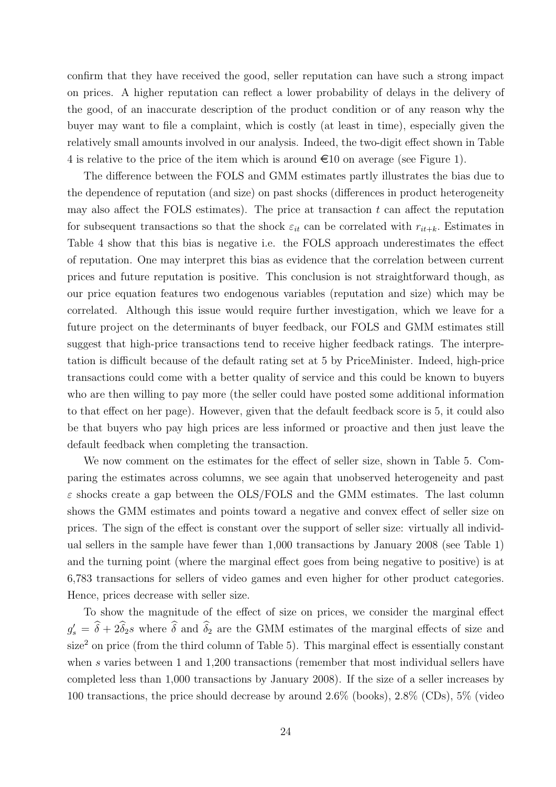confirm that they have received the good, seller reputation can have such a strong impact on prices. A higher reputation can reflect a lower probability of delays in the delivery of the good, of an inaccurate description of the product condition or of any reason why the buyer may want to file a complaint, which is costly (at least in time), especially given the relatively small amounts involved in our analysis. Indeed, the two-digit effect shown in Table 4 is relative to the price of the item which is around  $\infty$  10 on average (see Figure 1).

The difference between the FOLS and GMM estimates partly illustrates the bias due to the dependence of reputation (and size) on past shocks (differences in product heterogeneity may also affect the FOLS estimates). The price at transaction  $t$  can affect the reputation for subsequent transactions so that the shock  $\varepsilon_{it}$  can be correlated with  $r_{it+k}$ . Estimates in Table 4 show that this bias is negative i.e. the FOLS approach underestimates the effect of reputation. One may interpret this bias as evidence that the correlation between current prices and future reputation is positive. This conclusion is not straightforward though, as our price equation features two endogenous variables (reputation and size) which may be correlated. Although this issue would require further investigation, which we leave for a future project on the determinants of buyer feedback, our FOLS and GMM estimates still suggest that high-price transactions tend to receive higher feedback ratings. The interpretation is difficult because of the default rating set at 5 by PriceMinister. Indeed, high-price transactions could come with a better quality of service and this could be known to buyers who are then willing to pay more (the seller could have posted some additional information to that effect on her page). However, given that the default feedback score is 5, it could also be that buyers who pay high prices are less informed or proactive and then just leave the default feedback when completing the transaction.

We now comment on the estimates for the effect of seller size, shown in Table 5. Comparing the estimates across columns, we see again that unobserved heterogeneity and past  $\varepsilon$  shocks create a gap between the OLS/FOLS and the GMM estimates. The last column shows the GMM estimates and points toward a negative and convex effect of seller size on prices. The sign of the effect is constant over the support of seller size: virtually all individual sellers in the sample have fewer than 1,000 transactions by January 2008 (see Table 1) and the turning point (where the marginal effect goes from being negative to positive) is at 6,783 transactions for sellers of video games and even higher for other product categories. Hence, prices decrease with seller size.

To show the magnitude of the effect of size on prices, we consider the marginal effect  $g'_s = \hat{\delta} + 2\hat{\delta}_2 s$  where  $\hat{\delta}$  and  $\hat{\delta}_2$  are the GMM estimates of the marginal effects of size and  $size<sup>2</sup>$  on price (from the third column of Table 5). This marginal effect is essentially constant when s varies between 1 and 1,200 transactions (remember that most individual sellers have completed less than 1,000 transactions by January 2008). If the size of a seller increases by 100 transactions, the price should decrease by around 2.6% (books), 2.8% (CDs), 5% (video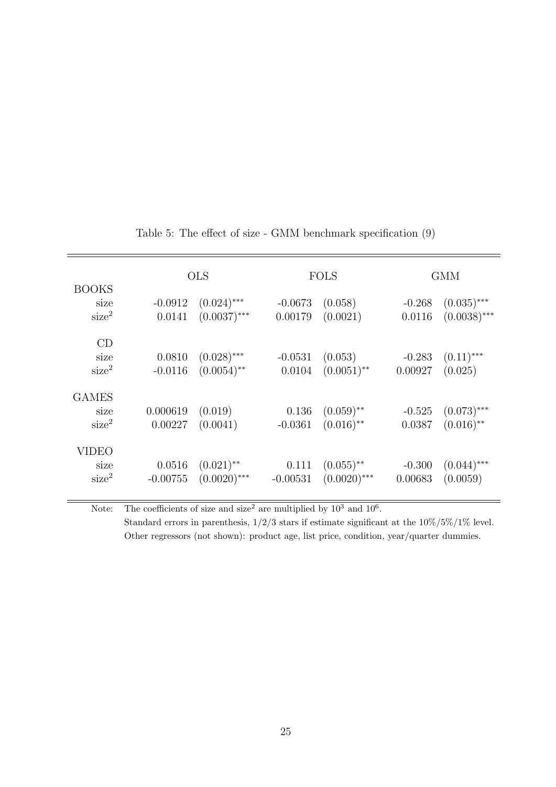|                                           |                      | <b>OLS</b>                      |                      | <b>FOLS</b>                               |                     | <b>GMM</b>                      |
|-------------------------------------------|----------------------|---------------------------------|----------------------|-------------------------------------------|---------------------|---------------------------------|
| <b>BOOKS</b><br>size<br>size <sup>2</sup> | $-0.0912$<br>0.0141  | $(0.024)$ ***<br>$(0.0037)$ *** | $-0.0673$<br>0.00179 | (0.058)<br>(0.0021)                       | $-0.268$<br>0.0116  | $(0.035)$ ***<br>$(0.0038)$ *** |
| CD<br>size<br>size <sup>2</sup>           | 0.0810<br>$-0.0116$  | $(0.028)$ ***<br>$(0.0054)$ **  | $-0.0531$<br>0.0104  | (0.053)<br>$(0.0051)$ <sup>**</sup>       | $-0.283$<br>0.00927 | $(0.11)$ ***<br>(0.025)         |
| <b>GAMES</b><br>size<br>size <sup>2</sup> | 0.000619<br>0.00227  | (0.019)<br>(0.0041)             | 0.136<br>$-0.0361$   | $(0.059)$ **<br>$(0.016)$ **              | $-0.525$<br>0.0387  | $(0.073)$ ***<br>$(0.016)$ **   |
| VIDEO<br>size<br>size <sup>2</sup>        | 0.0516<br>$-0.00755$ | $(0.021)$ **<br>$(0.0020)$ ***  | 0.111<br>$-0.00531$  | $(0.055)$ <sup>**</sup><br>$(0.0020)$ *** | $-0.300$<br>0.00683 | $(0.044)$ ***<br>(0.0059)       |

Table 5: The effect of size - GMM benchmark specification (9)

Note: The coefficients of size and size<sup>2</sup> are multiplied by  $10^3$  and  $10^6$ .

Standard errors in parenthesis,  $1/2/3$  stars if estimate significant at the  $10\%/5\%/1\%$  level. Other regressors (not shown): product age, list price, condition, year/quarter dummies.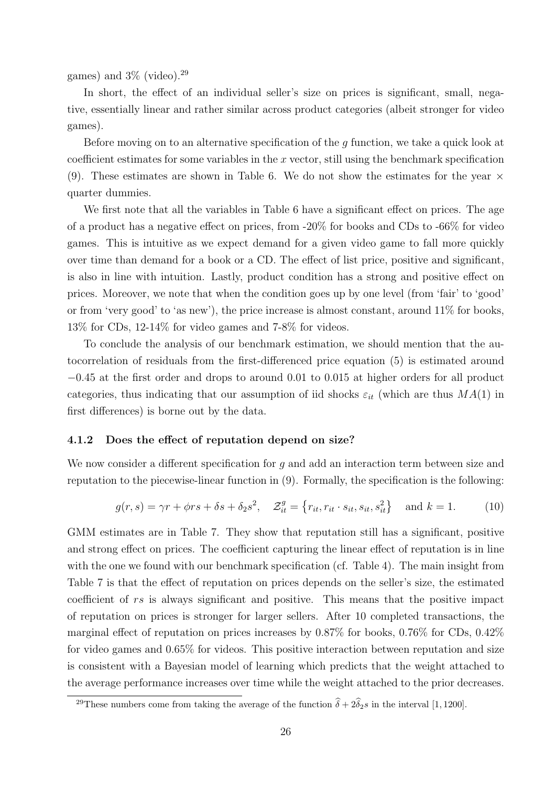games) and  $3\%$  (video).<sup>29</sup>

In short, the effect of an individual seller's size on prices is significant, small, negative, essentially linear and rather similar across product categories (albeit stronger for video games).

Before moving on to an alternative specification of the g function, we take a quick look at coefficient estimates for some variables in the  $x$  vector, still using the benchmark specification (9). These estimates are shown in Table 6. We do not show the estimates for the year  $\times$ quarter dummies.

We first note that all the variables in Table 6 have a significant effect on prices. The age of a product has a negative effect on prices, from -20% for books and CDs to -66% for video games. This is intuitive as we expect demand for a given video game to fall more quickly over time than demand for a book or a CD. The effect of list price, positive and significant, is also in line with intuition. Lastly, product condition has a strong and positive effect on prices. Moreover, we note that when the condition goes up by one level (from 'fair' to 'good' or from 'very good' to 'as new'), the price increase is almost constant, around 11% for books, 13% for CDs, 12-14% for video games and 7-8% for videos.

To conclude the analysis of our benchmark estimation, we should mention that the autocorrelation of residuals from the first-differenced price equation (5) is estimated around −0.45 at the first order and drops to around 0.01 to 0.015 at higher orders for all product categories, thus indicating that our assumption of iid shocks  $\varepsilon_{it}$  (which are thus  $MA(1)$  in first differences) is borne out by the data.

#### 4.1.2 Does the effect of reputation depend on size?

We now consider a different specification for g and add an interaction term between size and reputation to the piecewise-linear function in (9). Formally, the specification is the following:

$$
g(r,s) = \gamma r + \phi rs + \delta s + \delta_2 s^2, \quad \mathcal{Z}_{it}^g = \left\{ r_{it}, r_{it} \cdot s_{it}, s_{it}, s_{it}^2 \right\} \quad \text{and } k = 1. \tag{10}
$$

GMM estimates are in Table 7. They show that reputation still has a significant, positive and strong effect on prices. The coefficient capturing the linear effect of reputation is in line with the one we found with our benchmark specification (cf. Table 4). The main insight from Table 7 is that the effect of reputation on prices depends on the seller's size, the estimated coefficient of rs is always significant and positive. This means that the positive impact of reputation on prices is stronger for larger sellers. After 10 completed transactions, the marginal effect of reputation on prices increases by 0.87% for books, 0.76% for CDs, 0.42% for video games and 0.65% for videos. This positive interaction between reputation and size is consistent with a Bayesian model of learning which predicts that the weight attached to the average performance increases over time while the weight attached to the prior decreases.

<sup>&</sup>lt;sup>29</sup>These numbers come from taking the average of the function  $\hat{\delta} + 2\hat{\delta}_2 s$  in the interval [1, 1200].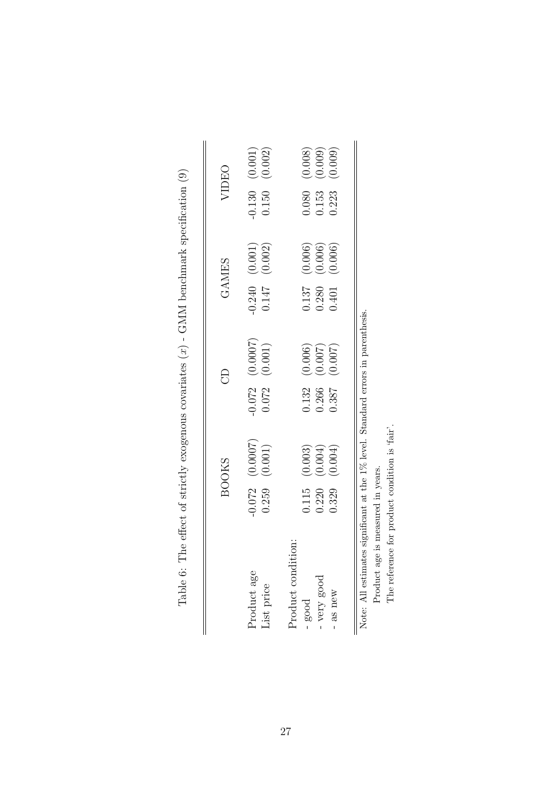|                                                                                 |       | <b>BOOKS</b>                   |       | 8                                                 |       | <b>GAMES</b>                                 |       | VIDEO                         |
|---------------------------------------------------------------------------------|-------|--------------------------------|-------|---------------------------------------------------|-------|----------------------------------------------|-------|-------------------------------|
| Product age<br>List price                                                       | 0.259 | $-0.072$ $(0.0007)$<br>(0.001) |       | $-0.072$ $(0.0007)$<br>0.072 $(0.001)$<br>(0.001) |       | $-0.240$ (0.001)<br>0.147 (0.002)<br>(0.002) | 0.150 | $-0.130$ $(0.001)$<br>(0.002) |
| ion:<br>Product conditi                                                         |       |                                |       |                                                   |       |                                              |       |                               |
| $-$ good                                                                        | 0.115 | (0.003)                        | 0.132 | (0.006)                                           | 0.137 | (0.006)                                      | 0.080 | (0.008)                       |
| - very good                                                                     | 0.220 | (0.004)                        | 0.266 | (0.007)                                           | 0.280 | (0.006)                                      | 0.153 | (0.009)                       |
| $-$ as new                                                                      | 0.329 | (0.004)                        | 0.387 | (0.007)                                           | 0.401 | (0.006)                                      | 0.223 | (0.009)                       |
|                                                                                 |       |                                |       |                                                   |       |                                              |       |                               |
| Note: All estimates significant at the 1% level. Standard errors in parenthesis |       |                                |       |                                                   |       |                                              |       |                               |
| Product age is measured in years.                                               |       |                                |       |                                                   |       |                                              |       |                               |
| The reference for product condition is 'fair'.                                  |       |                                |       |                                                   |       |                                              |       |                               |

Table 6: The effect of strictly exogenous covariates  $(x)$  - GMM benchmark specification (9) Table 6: The effect of strictly exogenous covariates  $(x)$  - GMM benchmark specification  $(9)$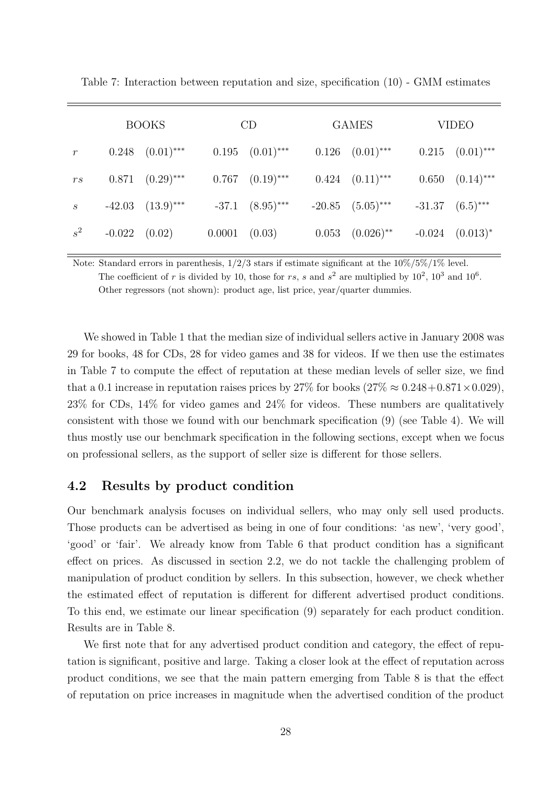|                  |          | <b>BOOKS</b>             |                   | CD                       | <b>GAMES</b>                    | <b>VIDEO</b>             |
|------------------|----------|--------------------------|-------------------|--------------------------|---------------------------------|--------------------------|
| $\boldsymbol{r}$ |          | $0.248$ $(0.01)$ ***     |                   | $0.195 \quad (0.01)$ *** | $0.126$ $(0.01)$ ***            | $0.215$ $(0.01)$ ***     |
| r s              |          | $0.871 \quad (0.29)$ *** |                   | $0.767 \quad (0.19)$ *** | $0.424 \quad (0.11)$ ***        | $0.650 \quad (0.14)$ *** |
| $\boldsymbol{S}$ |          | $-42.03$ $(13.9)***$     |                   | $-37.1$ $(8.95)$ ***     | $-20.85$ $(5.05)$ ***           | $-31.37$ $(6.5)$ ***     |
| $s^2$            | $-0.022$ | (0.02)                   | $0.0001$ $(0.03)$ |                          | $0.053$ $(0.026)$ <sup>**</sup> | $-0.024$ $(0.013)^*$     |

Table 7: Interaction between reputation and size, specification (10) - GMM estimates

Note: Standard errors in parenthesis, 1/2/3 stars if estimate significant at the 10%/5%/1% level. The coefficient of r is divided by 10, those for rs, s and  $s^2$  are multiplied by  $10^2$ ,  $10^3$  and  $10^6$ . Other regressors (not shown): product age, list price, year/quarter dummies.

We showed in Table 1 that the median size of individual sellers active in January 2008 was 29 for books, 48 for CDs, 28 for video games and 38 for videos. If we then use the estimates in Table 7 to compute the effect of reputation at these median levels of seller size, we find that a 0.1 increase in reputation raises prices by 27% for books  $(27\% \approx 0.248 + 0.871 \times 0.029)$ , 23% for CDs, 14% for video games and 24% for videos. These numbers are qualitatively consistent with those we found with our benchmark specification (9) (see Table 4). We will thus mostly use our benchmark specification in the following sections, except when we focus on professional sellers, as the support of seller size is different for those sellers.

### 4.2 Results by product condition

Our benchmark analysis focuses on individual sellers, who may only sell used products. Those products can be advertised as being in one of four conditions: 'as new', 'very good', 'good' or 'fair'. We already know from Table 6 that product condition has a significant effect on prices. As discussed in section 2.2, we do not tackle the challenging problem of manipulation of product condition by sellers. In this subsection, however, we check whether the estimated effect of reputation is different for different advertised product conditions. To this end, we estimate our linear specification (9) separately for each product condition. Results are in Table 8.

We first note that for any advertised product condition and category, the effect of reputation is significant, positive and large. Taking a closer look at the effect of reputation across product conditions, we see that the main pattern emerging from Table 8 is that the effect of reputation on price increases in magnitude when the advertised condition of the product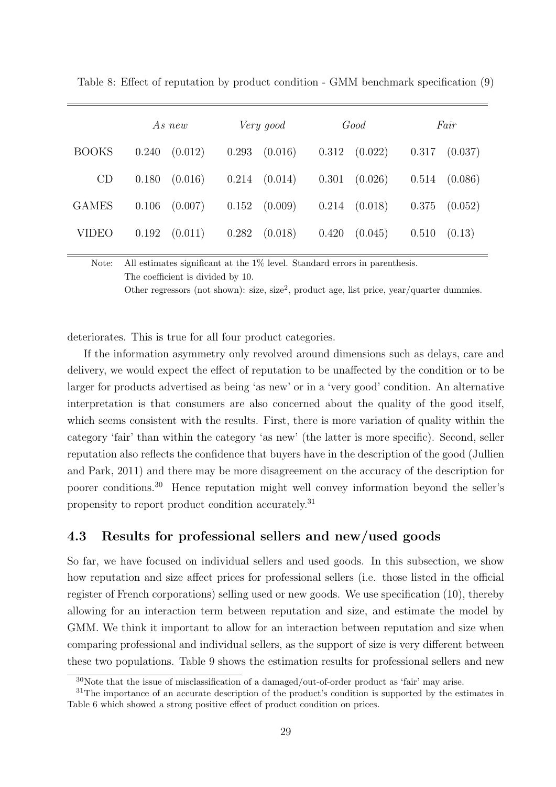|              | As new           | Very good         | Good              | Fair              |
|--------------|------------------|-------------------|-------------------|-------------------|
| <b>BOOKS</b> | 0.240<br>(0.012) | 0.293<br>(0.016)  | $0.312$ $(0.022)$ | $0.317$ $(0.037)$ |
| CD           | 0.180<br>(0.016) | $0.214$ $(0.014)$ | $0.301$ $(0.026)$ | 0.514<br>(0.086)  |
| <b>GAMES</b> | 0.106<br>(0.007) | $0.152$ $(0.009)$ | $0.214$ $(0.018)$ | 0.375<br>(0.052)  |
| VIDEO        | 0.192<br>(0.011) | 0.282<br>(0.018)  | 0.420<br>(0.045)  | 0.510<br>(0.13)   |
|              |                  |                   |                   |                   |

Table 8: Effect of reputation by product condition - GMM benchmark specification (9)

Note: All estimates significant at the 1% level. Standard errors in parenthesis. The coefficient is divided by 10.

Other regressors (not shown): size, size<sup>2</sup>, product age, list price, year/quarter dummies.

deteriorates. This is true for all four product categories.

If the information asymmetry only revolved around dimensions such as delays, care and delivery, we would expect the effect of reputation to be unaffected by the condition or to be larger for products advertised as being 'as new' or in a 'very good' condition. An alternative interpretation is that consumers are also concerned about the quality of the good itself, which seems consistent with the results. First, there is more variation of quality within the category 'fair' than within the category 'as new' (the latter is more specific). Second, seller reputation also reflects the confidence that buyers have in the description of the good (Jullien and Park, 2011) and there may be more disagreement on the accuracy of the description for poorer conditions.30 Hence reputation might well convey information beyond the seller's propensity to report product condition accurately.31

# 4.3 Results for professional sellers and new/used goods

So far, we have focused on individual sellers and used goods. In this subsection, we show how reputation and size affect prices for professional sellers (i.e. those listed in the official register of French corporations) selling used or new goods. We use specification (10), thereby allowing for an interaction term between reputation and size, and estimate the model by GMM. We think it important to allow for an interaction between reputation and size when comparing professional and individual sellers, as the support of size is very different between these two populations. Table 9 shows the estimation results for professional sellers and new

<sup>30</sup>Note that the issue of misclassification of a damaged/out-of-order product as 'fair' may arise.

<sup>&</sup>lt;sup>31</sup>The importance of an accurate description of the product's condition is supported by the estimates in Table 6 which showed a strong positive effect of product condition on prices.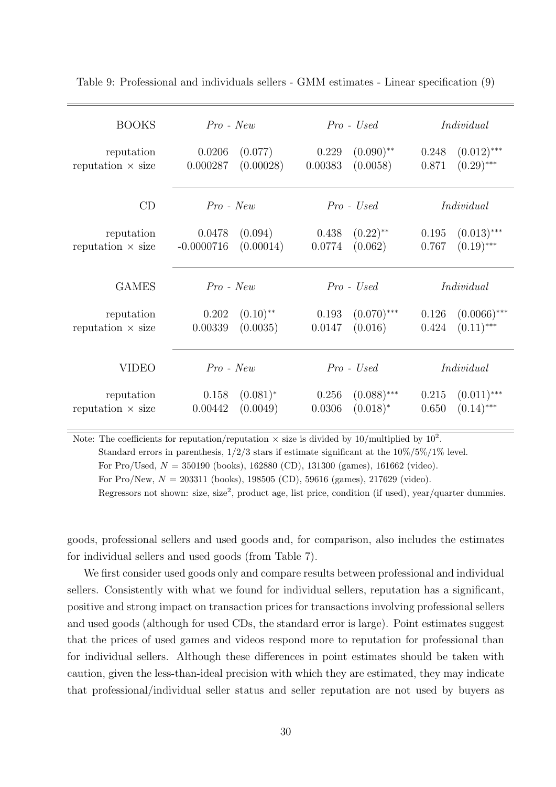| <b>BOOKS</b>                           | $Pro$ - $New$                                          | $Pro$ - Used                                         | Individual                                       |
|----------------------------------------|--------------------------------------------------------|------------------------------------------------------|--------------------------------------------------|
| reputation<br>reputation $\times$ size | (0.077)<br>0.0206<br>(0.00028)<br>0.000287             | $(0.090)$ **<br>0.229<br>(0.0058)<br>0.00383         | $(0.012)$ ***<br>0.248<br>$(0.29)$ ***<br>0.871  |
| CD                                     | $Pro$ - $New$                                          | $Pro$ - Used                                         | Individual                                       |
| reputation<br>reputation $\times$ size | (0.094)<br>0.0478<br>(0.00014)<br>$-0.0000716$         | $(0.22)$ <sup>**</sup><br>0.438<br>(0.062)<br>0.0774 | $(0.013)$ ***<br>0.195<br>$(0.19)$ ***<br>0.767  |
| <b>GAMES</b>                           | $Pro$ - $New$                                          | $Pro$ - Used                                         | Individual                                       |
| reputation<br>reputation $\times$ size | $(0.10)$ <sup>**</sup><br>0.202<br>(0.0035)<br>0.00339 | $(0.070)$ ***<br>0.193<br>(0.016)<br>0.0147          | $(0.0066)$ ***<br>0.126<br>$(0.11)$ ***<br>0.424 |
| <b>VIDEO</b>                           | $Pro$ - $New$                                          | $Pro$ - Used                                         | Individual                                       |
| reputation<br>reputation $\times$ size | $(0.081)^*$<br>0.158<br>(0.0049)<br>0.00442            | $(0.088)$ ***<br>0.256<br>$(0.018)^*$<br>0.0306      | $(0.011)$ ***<br>0.215<br>$(0.14)$ ***<br>0.650  |

Table 9: Professional and individuals sellers - GMM estimates - Linear specification (9)

Note: The coefficients for reputation/reputation  $\times$  size is divided by 10/multiplied by 10<sup>2</sup>.

Standard errors in parenthesis,  $1/2/3$  stars if estimate significant at the  $10\%/5\%/1\%$  level.

For Pro/Used,  $N = 350190$  (books), 162880 (CD), 131300 (games), 161662 (video).

For Pro/New,  $N = 203311$  (books), 198505 (CD), 59616 (games), 217629 (video).

Regressors not shown: size, size<sup>2</sup>, product age, list price, condition (if used), year/quarter dummies.

goods, professional sellers and used goods and, for comparison, also includes the estimates for individual sellers and used goods (from Table 7).

We first consider used goods only and compare results between professional and individual sellers. Consistently with what we found for individual sellers, reputation has a significant, positive and strong impact on transaction prices for transactions involving professional sellers and used goods (although for used CDs, the standard error is large). Point estimates suggest that the prices of used games and videos respond more to reputation for professional than for individual sellers. Although these differences in point estimates should be taken with caution, given the less-than-ideal precision with which they are estimated, they may indicate that professional/individual seller status and seller reputation are not used by buyers as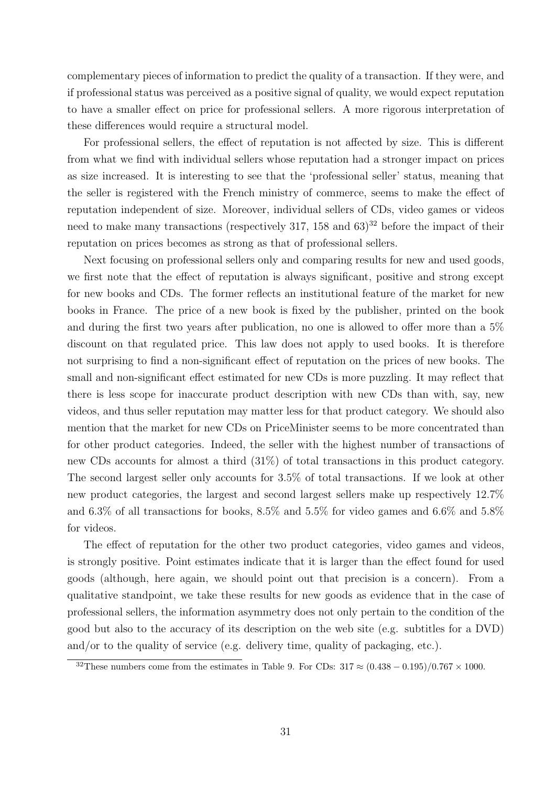complementary pieces of information to predict the quality of a transaction. If they were, and if professional status was perceived as a positive signal of quality, we would expect reputation to have a smaller effect on price for professional sellers. A more rigorous interpretation of these differences would require a structural model.

For professional sellers, the effect of reputation is not affected by size. This is different from what we find with individual sellers whose reputation had a stronger impact on prices as size increased. It is interesting to see that the 'professional seller' status, meaning that the seller is registered with the French ministry of commerce, seems to make the effect of reputation independent of size. Moreover, individual sellers of CDs, video games or videos need to make many transactions (respectively 317, 158 and  $63$ )<sup>32</sup> before the impact of their reputation on prices becomes as strong as that of professional sellers.

Next focusing on professional sellers only and comparing results for new and used goods, we first note that the effect of reputation is always significant, positive and strong except for new books and CDs. The former reflects an institutional feature of the market for new books in France. The price of a new book is fixed by the publisher, printed on the book and during the first two years after publication, no one is allowed to offer more than a 5% discount on that regulated price. This law does not apply to used books. It is therefore not surprising to find a non-significant effect of reputation on the prices of new books. The small and non-significant effect estimated for new CDs is more puzzling. It may reflect that there is less scope for inaccurate product description with new CDs than with, say, new videos, and thus seller reputation may matter less for that product category. We should also mention that the market for new CDs on PriceMinister seems to be more concentrated than for other product categories. Indeed, the seller with the highest number of transactions of new CDs accounts for almost a third (31%) of total transactions in this product category. The second largest seller only accounts for 3.5% of total transactions. If we look at other new product categories, the largest and second largest sellers make up respectively 12.7% and 6.3% of all transactions for books, 8.5% and 5.5% for video games and 6.6% and 5.8% for videos.

The effect of reputation for the other two product categories, video games and videos, is strongly positive. Point estimates indicate that it is larger than the effect found for used goods (although, here again, we should point out that precision is a concern). From a qualitative standpoint, we take these results for new goods as evidence that in the case of professional sellers, the information asymmetry does not only pertain to the condition of the good but also to the accuracy of its description on the web site (e.g. subtitles for a DVD) and/or to the quality of service (e.g. delivery time, quality of packaging, etc.).

<sup>&</sup>lt;sup>32</sup>These numbers come from the estimates in Table 9. For CDs:  $317 \approx (0.438 - 0.195)/0.767 \times 1000$ .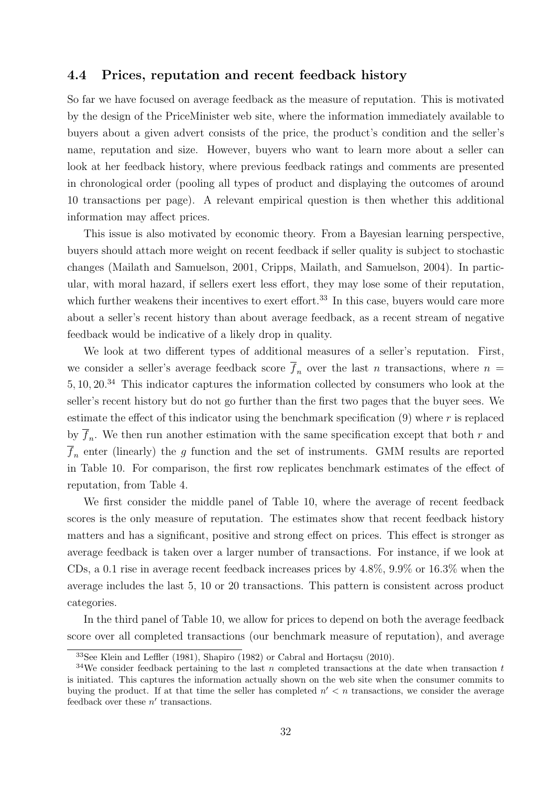#### 4.4 Prices, reputation and recent feedback history

So far we have focused on average feedback as the measure of reputation. This is motivated by the design of the PriceMinister web site, where the information immediately available to buyers about a given advert consists of the price, the product's condition and the seller's name, reputation and size. However, buyers who want to learn more about a seller can look at her feedback history, where previous feedback ratings and comments are presented in chronological order (pooling all types of product and displaying the outcomes of around 10 transactions per page). A relevant empirical question is then whether this additional information may affect prices.

This issue is also motivated by economic theory. From a Bayesian learning perspective, buyers should attach more weight on recent feedback if seller quality is subject to stochastic changes (Mailath and Samuelson, 2001, Cripps, Mailath, and Samuelson, 2004). In particular, with moral hazard, if sellers exert less effort, they may lose some of their reputation, which further weakens their incentives to exert effort.<sup>33</sup> In this case, buyers would care more about a seller's recent history than about average feedback, as a recent stream of negative feedback would be indicative of a likely drop in quality.

We look at two different types of additional measures of a seller's reputation. First, we consider a seller's average feedback score  $\overline{f}_n$  over the last n transactions, where  $n =$ 5, 10, 20.34 This indicator captures the information collected by consumers who look at the seller's recent history but do not go further than the first two pages that the buyer sees. We estimate the effect of this indicator using the benchmark specification  $(9)$  where r is replaced by  $f_n$ . We then run another estimation with the same specification except that both r and  $f_n$  enter (linearly) the g function and the set of instruments. GMM results are reported in Table 10. For comparison, the first row replicates benchmark estimates of the effect of reputation, from Table 4.

We first consider the middle panel of Table 10, where the average of recent feedback scores is the only measure of reputation. The estimates show that recent feedback history matters and has a significant, positive and strong effect on prices. This effect is stronger as average feedback is taken over a larger number of transactions. For instance, if we look at CDs, a 0.1 rise in average recent feedback increases prices by 4.8%, 9.9% or 16.3% when the average includes the last 5, 10 or 20 transactions. This pattern is consistent across product categories.

In the third panel of Table 10, we allow for prices to depend on both the average feedback score over all completed transactions (our benchmark measure of reputation), and average

 $33$ See Klein and Leffler (1981), Shapiro (1982) or Cabral and Hortaçsu (2010).

<sup>&</sup>lt;sup>34</sup>We consider feedback pertaining to the last n completed transactions at the date when transaction t is initiated. This captures the information actually shown on the web site when the consumer commits to buying the product. If at that time the seller has completed  $n' < n$  transactions, we consider the average feedback over these  $n'$  transactions.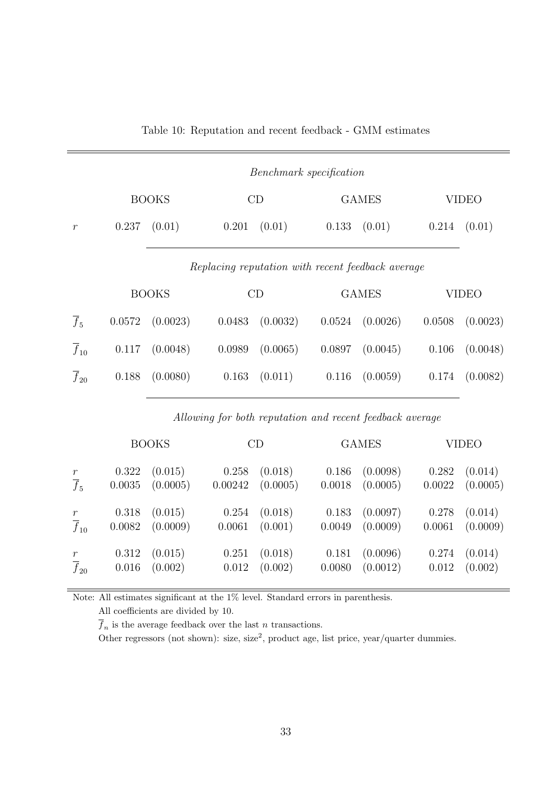|                     |        |              |        |          | Benchmark specification                           |              |        |              |
|---------------------|--------|--------------|--------|----------|---------------------------------------------------|--------------|--------|--------------|
|                     |        | <b>BOOKS</b> |        | CD       |                                                   | <b>GAMES</b> |        | <b>VIDEO</b> |
| $\boldsymbol{r}$    | 0.237  | (0.01)       | 0.201  | (0.01)   | 0.133                                             | (0.01)       | 0.214  | (0.01)       |
|                     |        | <b>BOOKS</b> |        | CD       | Replacing reputation with recent feedback average | <b>GAMES</b> |        | <b>VIDEO</b> |
| $\overline{f}_5$    | 0.0572 | (0.0023)     | 0.0483 | (0.0032) | 0.0524                                            | (0.0026)     | 0.0508 | (0.0023)     |
| $\overline{f}_{10}$ | 0.117  | (0.0048)     | 0.0989 | (0.0065) | 0.0897                                            | (0.0045)     | 0.106  | (0.0048)     |
| $\overline{f}_{20}$ | 0.188  | (0.0080)     | 0.163  | (0.011)  | 0.116                                             | (0.0059)     | 0.174  | (0.0082)     |

Table 10: Reputation and recent feedback - GMM estimates

Allowing for both reputation and recent feedback average

|                     |        | <b>BOOKS</b> |         | CD       |        | <b>GAMES</b> |        | <b>VIDEO</b>        |
|---------------------|--------|--------------|---------|----------|--------|--------------|--------|---------------------|
| $\,r$               | 0.322  | (0.015)      | 0.258   | (0.018)  | 0.186  | (0.0098)     | 0.282  | (0.014)             |
| $\overline{f}_5$    | 0.0035 | (0.0005)     | 0.00242 | (0.0005) | 0.0018 | (0.0005)     |        | $0.0022$ $(0.0005)$ |
| $\,r$               | 0.318  | (0.015)      | 0.254   | (0.018)  | 0.183  | (0.0097)     | 0.278  | (0.014)             |
| $\overline{f}_{10}$ | 0.0082 | (0.0009)     | 0.0061  | (0.001)  | 0.0049 | (0.0009)     | 0.0061 | (0.0009)            |
| $\,r$               | 0.312  | (0.015)      | 0.251   | (0.018)  | 0.181  | (0.0096)     | 0.274  | (0.014)             |
| $\overline{f}_{20}$ | 0.016  | (0.002)      | 0.012   | (0.002)  | 0.0080 | (0.0012)     | 0.012  | (0.002)             |

Note: All estimates significant at the 1% level. Standard errors in parenthesis.

All coefficients are divided by 10.

 $\overline{f}_n$  is the average feedback over the last  $n$  transactions.

Other regressors (not shown): size, size<sup>2</sup>, product age, list price, year/quarter dummies.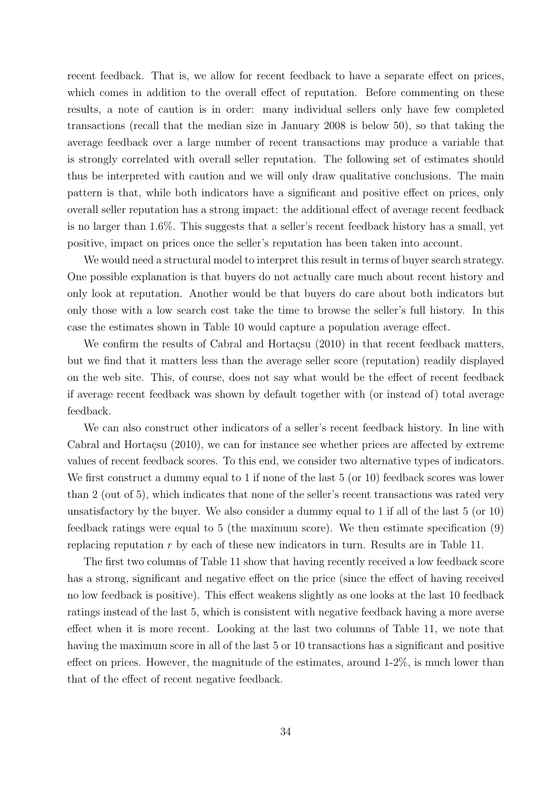recent feedback. That is, we allow for recent feedback to have a separate effect on prices, which comes in addition to the overall effect of reputation. Before commenting on these results, a note of caution is in order: many individual sellers only have few completed transactions (recall that the median size in January 2008 is below 50), so that taking the average feedback over a large number of recent transactions may produce a variable that is strongly correlated with overall seller reputation. The following set of estimates should thus be interpreted with caution and we will only draw qualitative conclusions. The main pattern is that, while both indicators have a significant and positive effect on prices, only overall seller reputation has a strong impact: the additional effect of average recent feedback is no larger than 1.6%. This suggests that a seller's recent feedback history has a small, yet positive, impact on prices once the seller's reputation has been taken into account.

We would need a structural model to interpret this result in terms of buyer search strategy. One possible explanation is that buyers do not actually care much about recent history and only look at reputation. Another would be that buyers do care about both indicators but only those with a low search cost take the time to browse the seller's full history. In this case the estimates shown in Table 10 would capture a population average effect.

We confirm the results of Cabral and Hortaçsu  $(2010)$  in that recent feedback matters, but we find that it matters less than the average seller score (reputation) readily displayed on the web site. This, of course, does not say what would be the effect of recent feedback if average recent feedback was shown by default together with (or instead of) total average feedback.

We can also construct other indicators of a seller's recent feedback history. In line with Cabral and Hortacsu  $(2010)$ , we can for instance see whether prices are affected by extreme values of recent feedback scores. To this end, we consider two alternative types of indicators. We first construct a dummy equal to 1 if none of the last 5 (or 10) feedback scores was lower than 2 (out of 5), which indicates that none of the seller's recent transactions was rated very unsatisfactory by the buyer. We also consider a dummy equal to 1 if all of the last 5 (or 10) feedback ratings were equal to 5 (the maximum score). We then estimate specification (9) replacing reputation r by each of these new indicators in turn. Results are in Table 11.

The first two columns of Table 11 show that having recently received a low feedback score has a strong, significant and negative effect on the price (since the effect of having received no low feedback is positive). This effect weakens slightly as one looks at the last 10 feedback ratings instead of the last 5, which is consistent with negative feedback having a more averse effect when it is more recent. Looking at the last two columns of Table 11, we note that having the maximum score in all of the last 5 or 10 transactions has a significant and positive effect on prices. However, the magnitude of the estimates, around 1-2%, is much lower than that of the effect of recent negative feedback.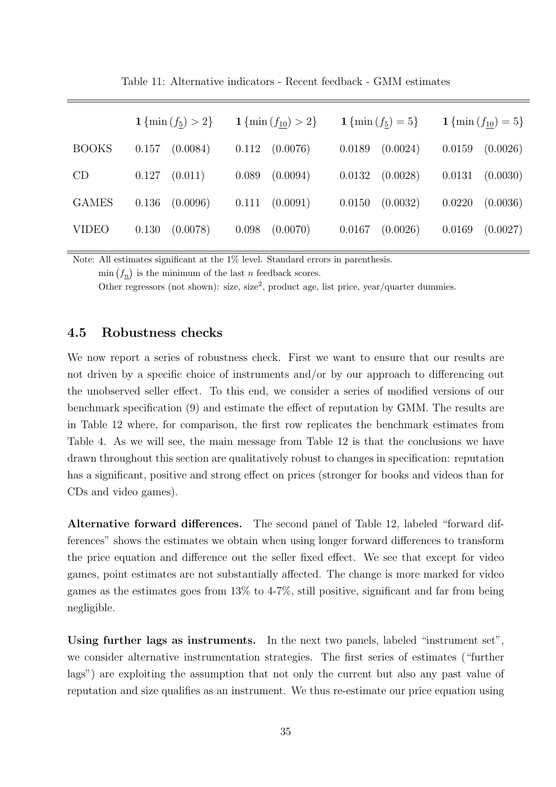|              | 1 $\{\min(f_5) > 2\}$ | 1 { $\min(f_{10}) > 2$ } | 1 $\{\min(f_5) = 5\}$ | 1 $\{\min(f_{10}) = 5\}$ |
|--------------|-----------------------|--------------------------|-----------------------|--------------------------|
| <b>BOOKS</b> | (0.0084)              | 0.112                    | (0.0024)              | 0.0159                   |
|              | 0.157                 | (0.0076)                 | 0.0189                | (0.0026)                 |
| CD           | (0.011)               | 0.089                    | (0.0028)              | 0.0131                   |
|              | 0.127                 | (0.0094)                 | 0.0132                | (0.0030)                 |
| <b>GAMES</b> | 0.136                 | (0.0091)                 | (0.0032)              | 0.0220                   |
|              | (0.0096)              | 0.111                    | 0.0150                | (0.0036)                 |
| <b>VIDEO</b> | (0.0078)              | (0.0070)                 | (0.0026)              | (0.0027)                 |
|              | 0.130                 | 0.098                    | 0.0167                | 0.0169                   |

Table 11: Alternative indicators - Recent feedback - GMM estimates

Note: All estimates significant at the 1% level. Standard errors in parenthesis.

 $\min(f_n)$  is the minimum of the last n feedback scores.

Other regressors (not shown): size, size<sup>2</sup>, product age, list price, year/quarter dummies.

### 4.5 Robustness checks

We now report a series of robustness check. First we want to ensure that our results are not driven by a specific choice of instruments and/or by our approach to differencing out the unobserved seller effect. To this end, we consider a series of modified versions of our benchmark specification (9) and estimate the effect of reputation by GMM. The results are in Table 12 where, for comparison, the first row replicates the benchmark estimates from Table 4. As we will see, the main message from Table 12 is that the conclusions we have drawn throughout this section are qualitatively robust to changes in specification: reputation has a significant, positive and strong effect on prices (stronger for books and videos than for CDs and video games).

Alternative forward differences. The second panel of Table 12, labeled "forward differences" shows the estimates we obtain when using longer forward differences to transform the price equation and difference out the seller fixed effect. We see that except for video games, point estimates are not substantially affected. The change is more marked for video games as the estimates goes from 13% to 4-7%, still positive, significant and far from being negligible.

Using further lags as instruments. In the next two panels, labeled "instrument set", we consider alternative instrumentation strategies. The first series of estimates ("further lags") are exploiting the assumption that not only the current but also any past value of reputation and size qualifies as an instrument. We thus re-estimate our price equation using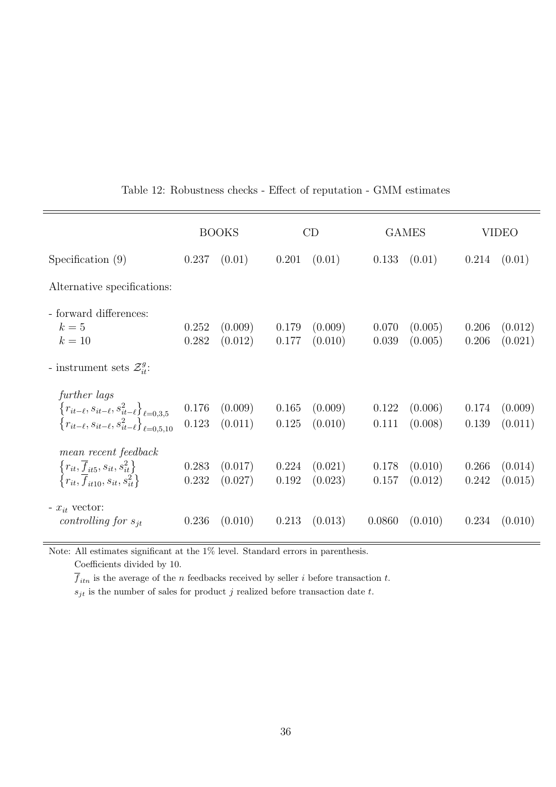|                                                                                                                                                                  |                | <b>BOOKS</b>       |                | CD                 |                | <b>GAMES</b>       |                | <b>VIDEO</b>       |
|------------------------------------------------------------------------------------------------------------------------------------------------------------------|----------------|--------------------|----------------|--------------------|----------------|--------------------|----------------|--------------------|
| Specification $(9)$                                                                                                                                              | 0.237          | (0.01)             | 0.201          | (0.01)             | 0.133          | (0.01)             | 0.214          | (0.01)             |
| Alternative specifications:                                                                                                                                      |                |                    |                |                    |                |                    |                |                    |
| - forward differences:<br>$k=5$<br>$k=10$                                                                                                                        | 0.252<br>0.282 | (0.009)<br>(0.012) | 0.179<br>0.177 | (0.009)<br>(0.010) | 0.070<br>0.039 | (0.005)<br>(0.005) | 0.206<br>0.206 | (0.012)<br>(0.021) |
| - instrument sets $\mathcal{Z}_{it}^g$ :                                                                                                                         |                |                    |                |                    |                |                    |                |                    |
| further lags<br>$\left\{ r_{it-\ell}, s_{it-\ell}, s_{it-\ell}^2 \right\}_{\ell=0,3,5}$ $\left\{ r_{it-\ell}, s_{it-\ell}, s_{it-\ell}^2 \right\}_{\ell=0,5,10}$ | 0.176<br>0.123 | (0.009)<br>(0.011) | 0.165<br>0.125 | (0.009)<br>(0.010) | 0.122<br>0.111 | (0.006)<br>(0.008) | 0.174<br>0.139 | (0.009)<br>(0.011) |
| mean recent feedback<br>$\frac{\left\{r_{it},\overline{f}_{it5},s_{it},s^2_{it}\right\}}{\left\{r_{it},\overline{f}_{it10},s_{it},s^2_{it}\right\}}$             | 0.283<br>0.232 | (0.017)<br>(0.027) | 0.224<br>0.192 | (0.021)<br>(0.023) | 0.178<br>0.157 | (0.010)<br>(0.012) | 0.266<br>0.242 | (0.014)<br>(0.015) |
| - $x_{it}$ vector:<br>controlling for $s_{it}$                                                                                                                   | 0.236          | (0.010)            | 0.213          | (0.013)            | 0.0860         | (0.010)            | 0.234          | (0.010)            |

## Table 12: Robustness checks - Effect of reputation - GMM estimates

Note: All estimates significant at the 1% level. Standard errors in parenthesis.

Coefficients divided by 10.

 $\overline{f}_{itn}$  is the average of the  $n$  feedbacks received by seller  $i$  before transaction  $t.$ 

 $s_{jt}$  is the number of sales for product  $j$  realized before transaction date  $t.$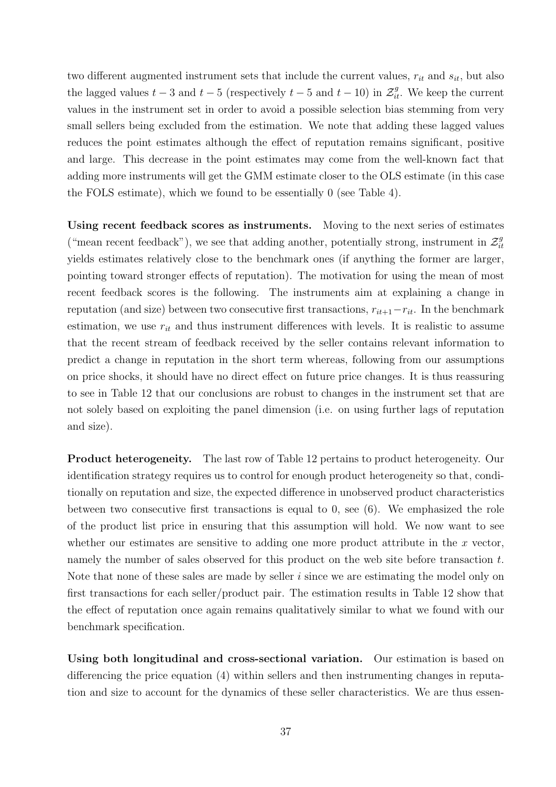two different augmented instrument sets that include the current values,  $r_{it}$  and  $s_{it}$ , but also the lagged values  $t-3$  and  $t-5$  (respectively  $t-5$  and  $t-10$ ) in  $\mathcal{Z}_{it}^g$ . We keep the current values in the instrument set in order to avoid a possible selection bias stemming from very small sellers being excluded from the estimation. We note that adding these lagged values reduces the point estimates although the effect of reputation remains significant, positive and large. This decrease in the point estimates may come from the well-known fact that adding more instruments will get the GMM estimate closer to the OLS estimate (in this case the FOLS estimate), which we found to be essentially 0 (see Table 4).

Using recent feedback scores as instruments. Moving to the next series of estimates ("mean recent feedback"), we see that adding another, potentially strong, instrument in  $\mathcal{Z}_{ii}^g$ it yields estimates relatively close to the benchmark ones (if anything the former are larger, pointing toward stronger effects of reputation). The motivation for using the mean of most recent feedback scores is the following. The instruments aim at explaining a change in reputation (and size) between two consecutive first transactions,  $r_{it+1}-r_{it}$ . In the benchmark estimation, we use  $r_{it}$  and thus instrument differences with levels. It is realistic to assume that the recent stream of feedback received by the seller contains relevant information to predict a change in reputation in the short term whereas, following from our assumptions on price shocks, it should have no direct effect on future price changes. It is thus reassuring to see in Table 12 that our conclusions are robust to changes in the instrument set that are not solely based on exploiting the panel dimension (i.e. on using further lags of reputation and size).

Product heterogeneity. The last row of Table 12 pertains to product heterogeneity. Our identification strategy requires us to control for enough product heterogeneity so that, conditionally on reputation and size, the expected difference in unobserved product characteristics between two consecutive first transactions is equal to 0, see (6). We emphasized the role of the product list price in ensuring that this assumption will hold. We now want to see whether our estimates are sensitive to adding one more product attribute in the  $x$  vector, namely the number of sales observed for this product on the web site before transaction t. Note that none of these sales are made by seller  $i$  since we are estimating the model only on first transactions for each seller/product pair. The estimation results in Table 12 show that the effect of reputation once again remains qualitatively similar to what we found with our benchmark specification.

Using both longitudinal and cross-sectional variation. Our estimation is based on differencing the price equation (4) within sellers and then instrumenting changes in reputation and size to account for the dynamics of these seller characteristics. We are thus essen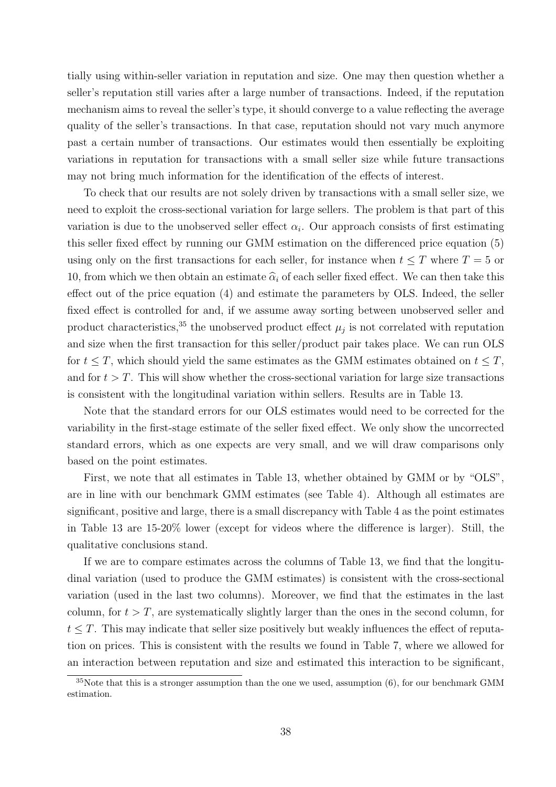tially using within-seller variation in reputation and size. One may then question whether a seller's reputation still varies after a large number of transactions. Indeed, if the reputation mechanism aims to reveal the seller's type, it should converge to a value reflecting the average quality of the seller's transactions. In that case, reputation should not vary much anymore past a certain number of transactions. Our estimates would then essentially be exploiting variations in reputation for transactions with a small seller size while future transactions may not bring much information for the identification of the effects of interest.

To check that our results are not solely driven by transactions with a small seller size, we need to exploit the cross-sectional variation for large sellers. The problem is that part of this variation is due to the unobserved seller effect  $\alpha_i$ . Our approach consists of first estimating this seller fixed effect by running our GMM estimation on the differenced price equation (5) using only on the first transactions for each seller, for instance when  $t \leq T$  where  $T = 5$  or 10, from which we then obtain an estimate  $\hat{\alpha}_i$  of each seller fixed effect. We can then take this effect out of the price equation (4) and estimate the parameters by OLS. Indeed, the seller fixed effect is controlled for and, if we assume away sorting between unobserved seller and product characteristics,<sup>35</sup> the unobserved product effect  $\mu_j$  is not correlated with reputation and size when the first transaction for this seller/product pair takes place. We can run OLS for  $t \leq T$ , which should yield the same estimates as the GMM estimates obtained on  $t \leq T$ , and for  $t > T$ . This will show whether the cross-sectional variation for large size transactions is consistent with the longitudinal variation within sellers. Results are in Table 13.

Note that the standard errors for our OLS estimates would need to be corrected for the variability in the first-stage estimate of the seller fixed effect. We only show the uncorrected standard errors, which as one expects are very small, and we will draw comparisons only based on the point estimates.

First, we note that all estimates in Table 13, whether obtained by GMM or by "OLS", are in line with our benchmark GMM estimates (see Table 4). Although all estimates are significant, positive and large, there is a small discrepancy with Table 4 as the point estimates in Table 13 are 15-20% lower (except for videos where the difference is larger). Still, the qualitative conclusions stand.

If we are to compare estimates across the columns of Table 13, we find that the longitudinal variation (used to produce the GMM estimates) is consistent with the cross-sectional variation (used in the last two columns). Moreover, we find that the estimates in the last column, for  $t > T$ , are systematically slightly larger than the ones in the second column, for  $t \leq T$ . This may indicate that seller size positively but weakly influences the effect of reputation on prices. This is consistent with the results we found in Table 7, where we allowed for an interaction between reputation and size and estimated this interaction to be significant,

 $35$ Note that this is a stronger assumption than the one we used, assumption  $(6)$ , for our benchmark GMM estimation.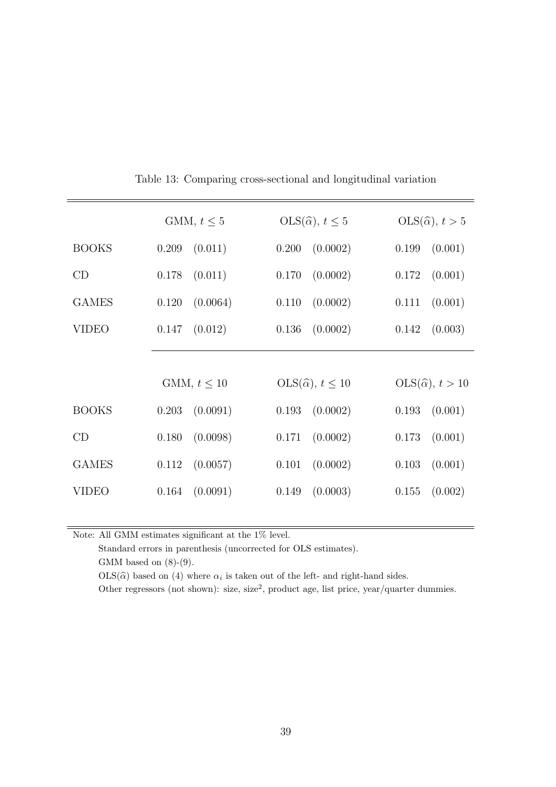|              | GMM, $t \leq 5$  | $OLS(\widehat{\alpha}), t \leq 5$  | $OLS(\widehat{\alpha}), t > 5$  |  |  |
|--------------|------------------|------------------------------------|---------------------------------|--|--|
| <b>BOOKS</b> | (0.011)          | (0.0002)                           | (0.001)                         |  |  |
|              | 0.209            | 0.200                              | 0.199                           |  |  |
| CD           | (0.011)          | (0.0002)                           | (0.001)                         |  |  |
|              | 0.178            | 0.170                              | 0.172                           |  |  |
| <b>GAMES</b> | (0.0064)         | (0.0002)                           | 0.111                           |  |  |
|              | 0.120            | 0.110                              | (0.001)                         |  |  |
| <b>VIDEO</b> | (0.012)          | (0.0002)                           | (0.003)                         |  |  |
|              | 0.147            | 0.136                              | 0.142                           |  |  |
|              |                  |                                    |                                 |  |  |
|              | GMM, $t \leq 10$ | $OLS(\widehat{\alpha}), t \leq 10$ | $OLS(\widehat{\alpha}), t > 10$ |  |  |
| <b>BOOKS</b> | (0.0091)         | (0.0002)                           | 0.193                           |  |  |
|              | 0.203            | 0.193                              | (0.001)                         |  |  |
| CD           | (0.0098)         | (0.0002)                           | 0.173                           |  |  |
|              | 0.180            | 0.171                              | (0.001)                         |  |  |
| <b>GAMES</b> | (0.0057)         | (0.0002)                           | (0.001)                         |  |  |
|              | 0.112            | 0.101                              | 0.103                           |  |  |
| <b>VIDEO</b> | (0.0091)         | (0.0003)                           | (0.002)                         |  |  |
|              | 0.164            | 0.149                              | 0.155                           |  |  |
|              |                  |                                    |                                 |  |  |

Table 13: Comparing cross-sectional and longitudinal variation

Note: All GMM estimates significant at the  $1\%$  level.

Standard errors in parenthesis (uncorrected for OLS estimates). GMM based on  $(8)-(9)$ .

 $OLS(\hat{\alpha})$  based on (4) where  $\alpha_i$  is taken out of the left- and right-hand sides.

Other regressors (not shown): size, size<sup>2</sup>, product age, list price, year/quarter dummies.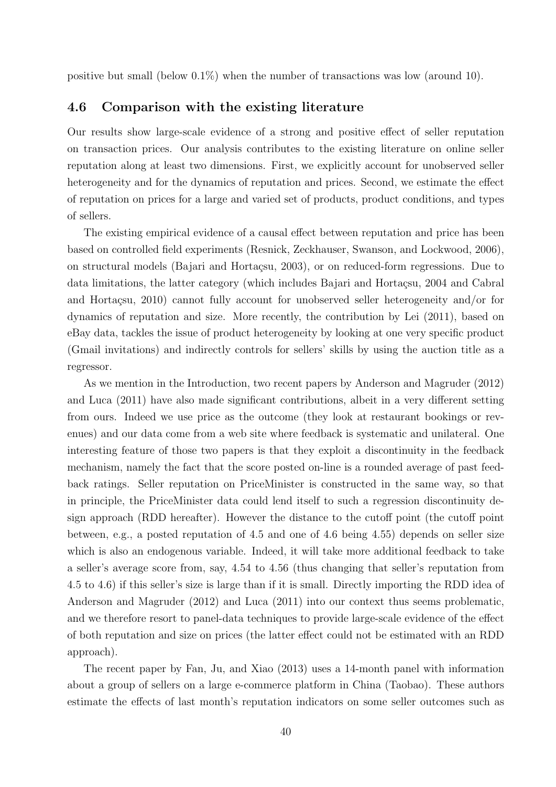positive but small (below  $0.1\%$ ) when the number of transactions was low (around 10).

### 4.6 Comparison with the existing literature

Our results show large-scale evidence of a strong and positive effect of seller reputation on transaction prices. Our analysis contributes to the existing literature on online seller reputation along at least two dimensions. First, we explicitly account for unobserved seller heterogeneity and for the dynamics of reputation and prices. Second, we estimate the effect of reputation on prices for a large and varied set of products, product conditions, and types of sellers.

The existing empirical evidence of a causal effect between reputation and price has been based on controlled field experiments (Resnick, Zeckhauser, Swanson, and Lockwood, 2006), on structural models (Bajari and Hortaçsu, 2003), or on reduced-form regressions. Due to data limitations, the latter category (which includes Bajari and Hortaçsu, 2004 and Cabral and Hortaçsu, 2010) cannot fully account for unobserved seller heterogeneity and/or for dynamics of reputation and size. More recently, the contribution by Lei (2011), based on eBay data, tackles the issue of product heterogeneity by looking at one very specific product (Gmail invitations) and indirectly controls for sellers' skills by using the auction title as a regressor.

As we mention in the Introduction, two recent papers by Anderson and Magruder (2012) and Luca (2011) have also made significant contributions, albeit in a very different setting from ours. Indeed we use price as the outcome (they look at restaurant bookings or revenues) and our data come from a web site where feedback is systematic and unilateral. One interesting feature of those two papers is that they exploit a discontinuity in the feedback mechanism, namely the fact that the score posted on-line is a rounded average of past feedback ratings. Seller reputation on PriceMinister is constructed in the same way, so that in principle, the PriceMinister data could lend itself to such a regression discontinuity design approach (RDD hereafter). However the distance to the cutoff point (the cutoff point between, e.g., a posted reputation of 4.5 and one of 4.6 being 4.55) depends on seller size which is also an endogenous variable. Indeed, it will take more additional feedback to take a seller's average score from, say, 4.54 to 4.56 (thus changing that seller's reputation from 4.5 to 4.6) if this seller's size is large than if it is small. Directly importing the RDD idea of Anderson and Magruder (2012) and Luca (2011) into our context thus seems problematic, and we therefore resort to panel-data techniques to provide large-scale evidence of the effect of both reputation and size on prices (the latter effect could not be estimated with an RDD approach).

The recent paper by Fan, Ju, and Xiao (2013) uses a 14-month panel with information about a group of sellers on a large e-commerce platform in China (Taobao). These authors estimate the effects of last month's reputation indicators on some seller outcomes such as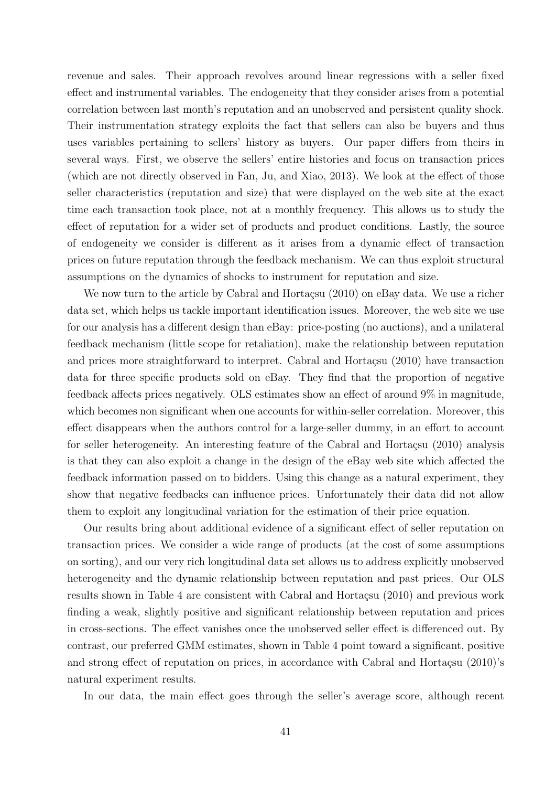revenue and sales. Their approach revolves around linear regressions with a seller fixed effect and instrumental variables. The endogeneity that they consider arises from a potential correlation between last month's reputation and an unobserved and persistent quality shock. Their instrumentation strategy exploits the fact that sellers can also be buyers and thus uses variables pertaining to sellers' history as buyers. Our paper differs from theirs in several ways. First, we observe the sellers' entire histories and focus on transaction prices (which are not directly observed in Fan, Ju, and Xiao, 2013). We look at the effect of those seller characteristics (reputation and size) that were displayed on the web site at the exact time each transaction took place, not at a monthly frequency. This allows us to study the effect of reputation for a wider set of products and product conditions. Lastly, the source of endogeneity we consider is different as it arises from a dynamic effect of transaction prices on future reputation through the feedback mechanism. We can thus exploit structural assumptions on the dynamics of shocks to instrument for reputation and size.

We now turn to the article by Cabral and Hortaçsu  $(2010)$  on eBay data. We use a richer data set, which helps us tackle important identification issues. Moreover, the web site we use for our analysis has a different design than eBay: price-posting (no auctions), and a unilateral feedback mechanism (little scope for retaliation), make the relationship between reputation and prices more straightforward to interpret. Cabral and Hortaçsu (2010) have transaction data for three specific products sold on eBay. They find that the proportion of negative feedback affects prices negatively. OLS estimates show an effect of around 9% in magnitude, which becomes non significant when one accounts for within-seller correlation. Moreover, this effect disappears when the authors control for a large-seller dummy, in an effort to account for seller heterogeneity. An interesting feature of the Cabral and Hortacsu  $(2010)$  analysis is that they can also exploit a change in the design of the eBay web site which affected the feedback information passed on to bidders. Using this change as a natural experiment, they show that negative feedbacks can influence prices. Unfortunately their data did not allow them to exploit any longitudinal variation for the estimation of their price equation.

Our results bring about additional evidence of a significant effect of seller reputation on transaction prices. We consider a wide range of products (at the cost of some assumptions on sorting), and our very rich longitudinal data set allows us to address explicitly unobserved heterogeneity and the dynamic relationship between reputation and past prices. Our OLS results shown in Table 4 are consistent with Cabral and Hortaçsu (2010) and previous work finding a weak, slightly positive and significant relationship between reputation and prices in cross-sections. The effect vanishes once the unobserved seller effect is differenced out. By contrast, our preferred GMM estimates, shown in Table 4 point toward a significant, positive and strong effect of reputation on prices, in accordance with Cabral and Hortacsu  $(2010)$ 's natural experiment results.

In our data, the main effect goes through the seller's average score, although recent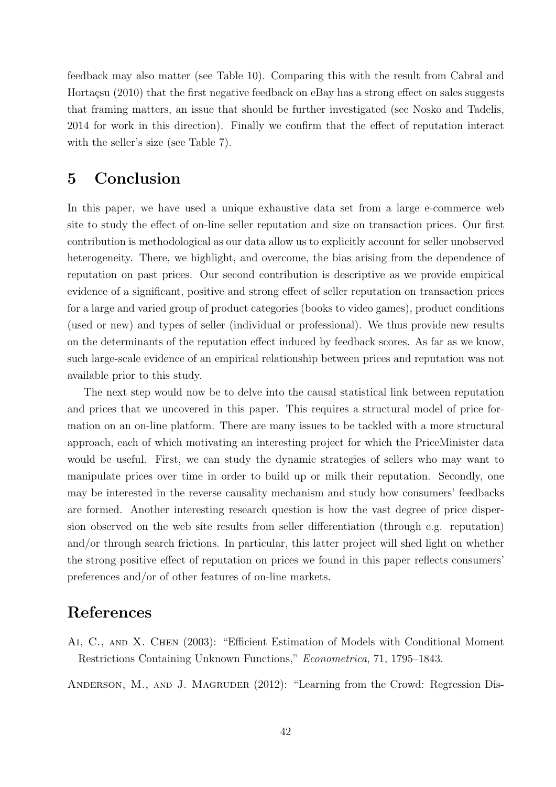feedback may also matter (see Table 10). Comparing this with the result from Cabral and Hortaçsu (2010) that the first negative feedback on eBay has a strong effect on sales suggests that framing matters, an issue that should be further investigated (see Nosko and Tadelis, 2014 for work in this direction). Finally we confirm that the effect of reputation interact with the seller's size (see Table 7).

# 5 Conclusion

In this paper, we have used a unique exhaustive data set from a large e-commerce web site to study the effect of on-line seller reputation and size on transaction prices. Our first contribution is methodological as our data allow us to explicitly account for seller unobserved heterogeneity. There, we highlight, and overcome, the bias arising from the dependence of reputation on past prices. Our second contribution is descriptive as we provide empirical evidence of a significant, positive and strong effect of seller reputation on transaction prices for a large and varied group of product categories (books to video games), product conditions (used or new) and types of seller (individual or professional). We thus provide new results on the determinants of the reputation effect induced by feedback scores. As far as we know, such large-scale evidence of an empirical relationship between prices and reputation was not available prior to this study.

The next step would now be to delve into the causal statistical link between reputation and prices that we uncovered in this paper. This requires a structural model of price formation on an on-line platform. There are many issues to be tackled with a more structural approach, each of which motivating an interesting project for which the PriceMinister data would be useful. First, we can study the dynamic strategies of sellers who may want to manipulate prices over time in order to build up or milk their reputation. Secondly, one may be interested in the reverse causality mechanism and study how consumers' feedbacks are formed. Another interesting research question is how the vast degree of price dispersion observed on the web site results from seller differentiation (through e.g. reputation) and/or through search frictions. In particular, this latter project will shed light on whether the strong positive effect of reputation on prices we found in this paper reflects consumers' preferences and/or of other features of on-line markets.

# References

Ai, C., and X. Chen (2003): "Efficient Estimation of Models with Conditional Moment Restrictions Containing Unknown Functions," Econometrica, 71, 1795–1843.

ANDERSON, M., AND J. MAGRUDER (2012): "Learning from the Crowd: Regression Dis-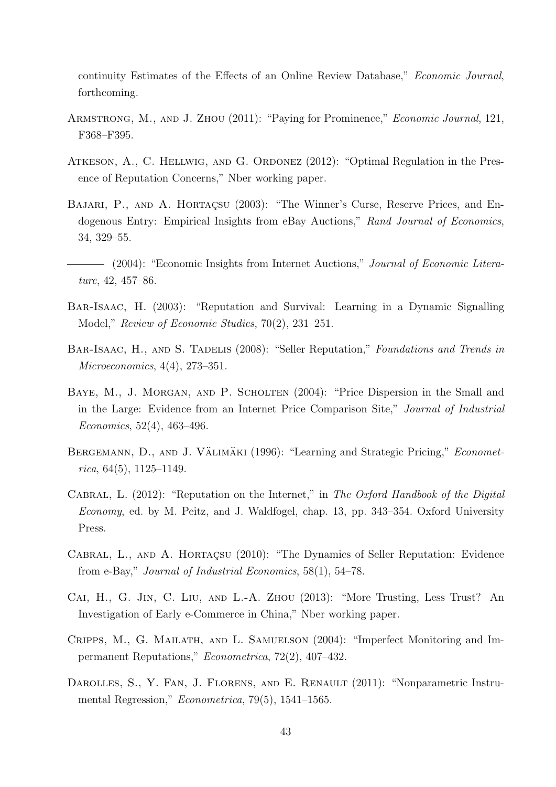continuity Estimates of the Effects of an Online Review Database," Economic Journal, forthcoming.

- Armstrong, M., and J. Zhou (2011): "Paying for Prominence," Economic Journal, 121, F368–F395.
- Atkeson, A., C. Hellwig, and G. Ordonez (2012): "Optimal Regulation in the Presence of Reputation Concerns," Nber working paper.
- BAJARI, P., AND A. HORTAÇSU (2003): "The Winner's Curse, Reserve Prices, and Endogenous Entry: Empirical Insights from eBay Auctions," Rand Journal of Economics, 34, 329–55.
- (2004): "Economic Insights from Internet Auctions," Journal of Economic Literature, 42, 457–86.
- Bar-Isaac, H. (2003): "Reputation and Survival: Learning in a Dynamic Signalling Model," Review of Economic Studies, 70(2), 231–251.
- BAR-ISAAC, H., AND S. TADELIS (2008): "Seller Reputation," Foundations and Trends in Microeconomics, 4(4), 273–351.
- BAYE, M., J. MORGAN, AND P. SCHOLTEN (2004): "Price Dispersion in the Small and in the Large: Evidence from an Internet Price Comparison Site," Journal of Industrial Economics, 52(4), 463–496.
- BERGEMANN, D., AND J. VÄLIMÄKI  $(1996)$ : "Learning and Strategic Pricing," *Economet*rica,  $64(5)$ ,  $1125-1149$ .
- CABRAL, L. (2012): "Reputation on the Internet," in The Oxford Handbook of the Digital Economy, ed. by M. Peitz, and J. Waldfogel, chap. 13, pp. 343–354. Oxford University Press.
- CABRAL, L., AND A. HORTAÇSU (2010): "The Dynamics of Seller Reputation: Evidence from e-Bay," Journal of Industrial Economics, 58(1), 54–78.
- Cai, H., G. Jin, C. Liu, and L.-A. Zhou (2013): "More Trusting, Less Trust? An Investigation of Early e-Commerce in China," Nber working paper.
- Cripps, M., G. Mailath, and L. Samuelson (2004): "Imperfect Monitoring and Impermanent Reputations," Econometrica, 72(2), 407–432.
- DAROLLES, S., Y. FAN, J. FLORENS, AND E. RENAULT (2011): "Nonparametric Instrumental Regression," Econometrica, 79(5), 1541–1565.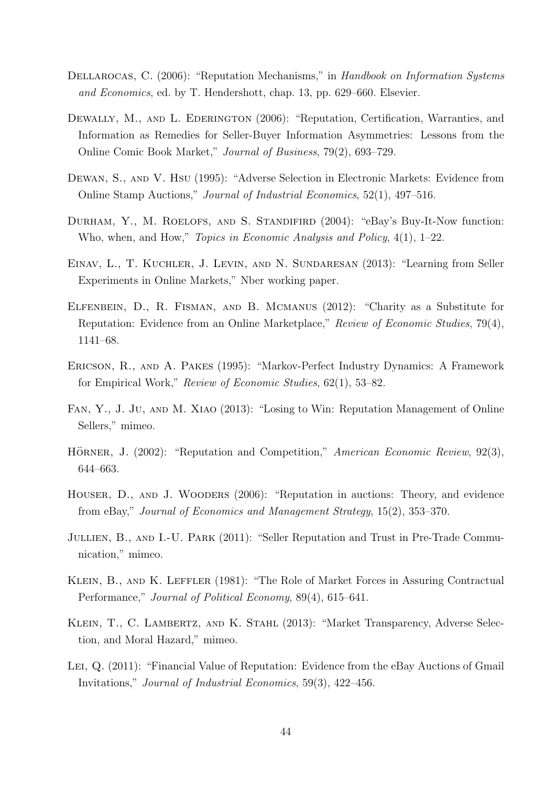- DELLAROCAS, C. (2006): "Reputation Mechanisms," in Handbook on Information Systems and Economics, ed. by T. Hendershott, chap. 13, pp. 629–660. Elsevier.
- DEWALLY, M., AND L. EDERINGTON (2006): "Reputation, Certification, Warranties, and Information as Remedies for Seller-Buyer Information Asymmetries: Lessons from the Online Comic Book Market," Journal of Business, 79(2), 693–729.
- Dewan, S., and V. Hsu (1995): "Adverse Selection in Electronic Markets: Evidence from Online Stamp Auctions," Journal of Industrial Economics, 52(1), 497–516.
- DURHAM, Y., M. ROELOFS, AND S. STANDIFIRD (2004): "eBay's Buy-It-Now function: Who, when, and How," Topics in Economic Analysis and Policy, 4(1), 1–22.
- Einav, L., T. Kuchler, J. Levin, and N. Sundaresan (2013): "Learning from Seller Experiments in Online Markets," Nber working paper.
- Elfenbein, D., R. Fisman, and B. Mcmanus (2012): "Charity as a Substitute for Reputation: Evidence from an Online Marketplace," Review of Economic Studies, 79(4), 1141–68.
- Ericson, R., and A. Pakes (1995): "Markov-Perfect Industry Dynamics: A Framework for Empirical Work," Review of Economic Studies, 62(1), 53–82.
- Fan, Y., J. Ju, and M. Xiao (2013): "Losing to Win: Reputation Management of Online Sellers," mimeo.
- HÖRNER, J. (2002): "Reputation and Competition," American Economic Review, 92(3), 644–663.
- Houser, D., and J. Wooders (2006): "Reputation in auctions: Theory, and evidence from eBay," Journal of Economics and Management Strategy, 15(2), 353–370.
- JULLIEN, B., AND I.-U. PARK (2011): "Seller Reputation and Trust in Pre-Trade Communication," mimeo.
- KLEIN, B., AND K. LEFFLER (1981): "The Role of Market Forces in Assuring Contractual Performance," Journal of Political Economy, 89(4), 615–641.
- KLEIN, T., C. LAMBERTZ, AND K. STAHL (2013): "Market Transparency, Adverse Selection, and Moral Hazard," mimeo.
- Lei, Q. (2011): "Financial Value of Reputation: Evidence from the eBay Auctions of Gmail Invitations," Journal of Industrial Economics, 59(3), 422–456.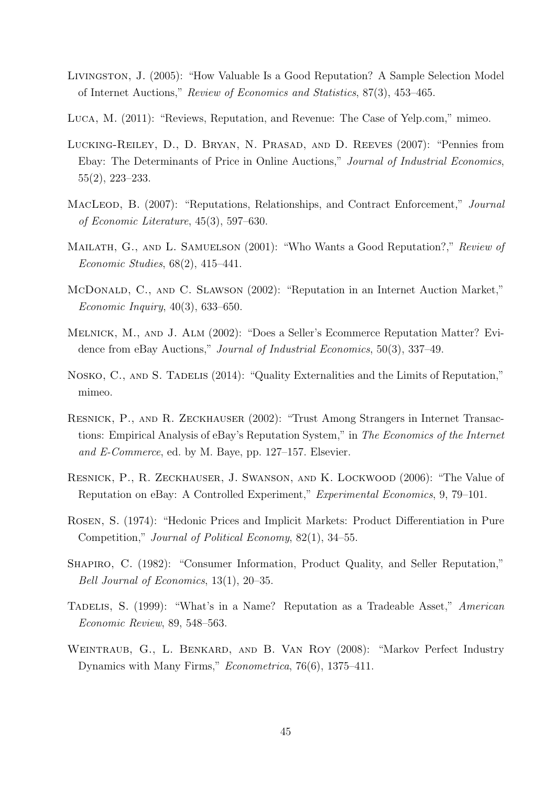- Livingston, J. (2005): "How Valuable Is a Good Reputation? A Sample Selection Model of Internet Auctions," Review of Economics and Statistics, 87(3), 453–465.
- Luca, M. (2011): "Reviews, Reputation, and Revenue: The Case of Yelp.com," mimeo.
- Lucking-Reiley, D., D. Bryan, N. Prasad, and D. Reeves (2007): "Pennies from Ebay: The Determinants of Price in Online Auctions," Journal of Industrial Economics, 55(2), 223–233.
- MACLEOD, B. (2007): "Reputations, Relationships, and Contract Enforcement," Journal of Economic Literature, 45(3), 597–630.
- MAILATH, G., AND L. SAMUELSON (2001): "Who Wants a Good Reputation?," Review of Economic Studies, 68(2), 415–441.
- McDonald, C., and C. SLAWSON (2002): "Reputation in an Internet Auction Market," Economic Inquiry, 40(3), 633–650.
- Melnick, M., and J. Alm (2002): "Does a Seller's Ecommerce Reputation Matter? Evidence from eBay Auctions," Journal of Industrial Economics, 50(3), 337–49.
- NOSKO, C., AND S. TADELIS (2014): "Quality Externalities and the Limits of Reputation," mimeo.
- RESNICK, P., AND R. ZECKHAUSER (2002): "Trust Among Strangers in Internet Transactions: Empirical Analysis of eBay's Reputation System," in The Economics of the Internet and E-Commerce, ed. by M. Baye, pp. 127–157. Elsevier.
- Resnick, P., R. Zeckhauser, J. Swanson, and K. Lockwood (2006): "The Value of Reputation on eBay: A Controlled Experiment," Experimental Economics, 9, 79–101.
- Rosen, S. (1974): "Hedonic Prices and Implicit Markets: Product Differentiation in Pure Competition," Journal of Political Economy, 82(1), 34–55.
- Shapiro, C. (1982): "Consumer Information, Product Quality, and Seller Reputation," Bell Journal of Economics, 13(1), 20–35.
- TADELIS, S. (1999): "What's in a Name? Reputation as a Tradeable Asset," American Economic Review, 89, 548–563.
- Weintraub, G., L. Benkard, and B. Van Roy (2008): "Markov Perfect Industry Dynamics with Many Firms," Econometrica, 76(6), 1375–411.